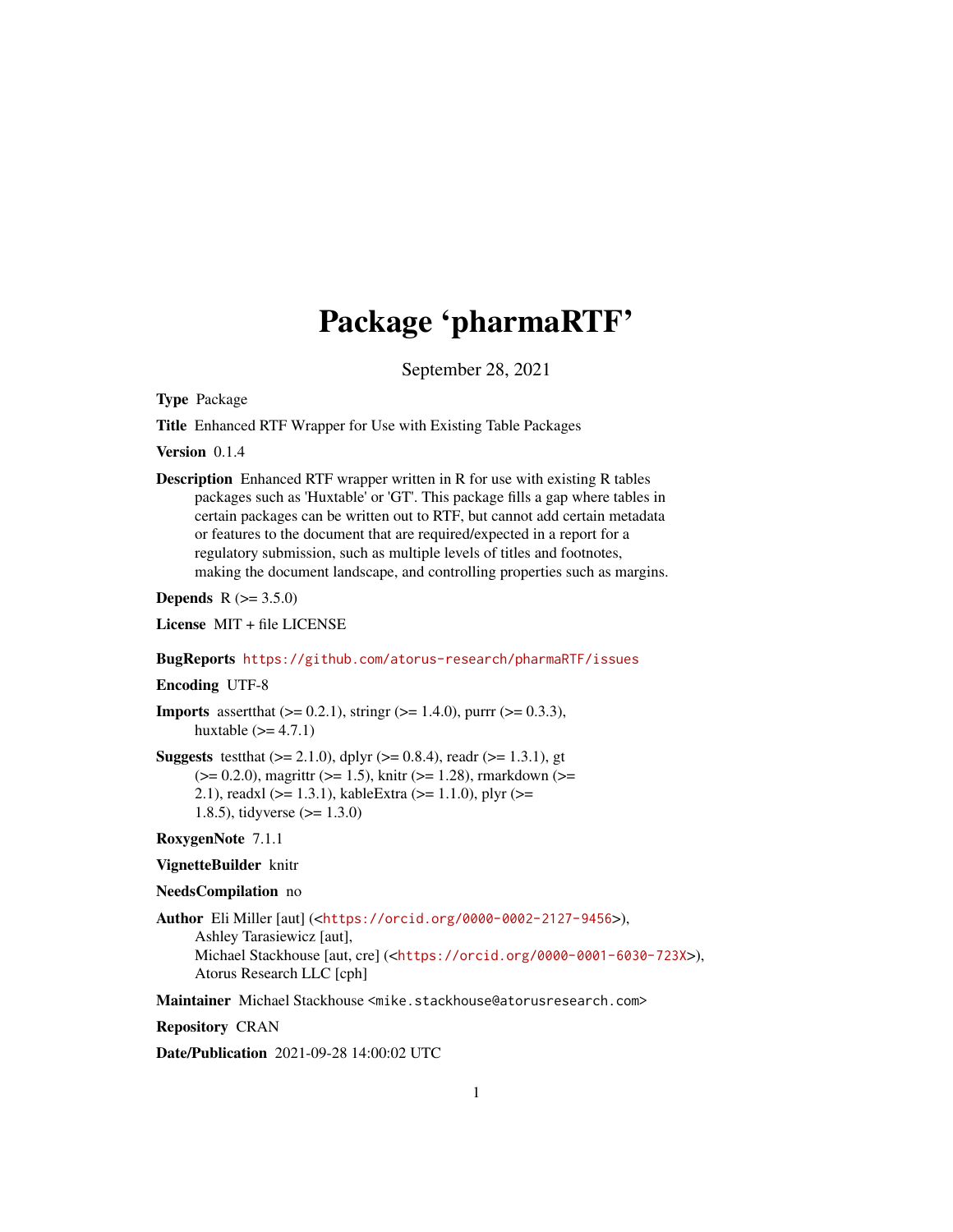## Package 'pharmaRTF'

September 28, 2021

Type Package

Title Enhanced RTF Wrapper for Use with Existing Table Packages

Version 0.1.4

Description Enhanced RTF wrapper written in R for use with existing R tables packages such as 'Huxtable' or 'GT'. This package fills a gap where tables in certain packages can be written out to RTF, but cannot add certain metadata or features to the document that are required/expected in a report for a regulatory submission, such as multiple levels of titles and footnotes, making the document landscape, and controlling properties such as margins.

**Depends** R  $(>= 3.5.0)$ 

License MIT + file LICENSE

## BugReports <https://github.com/atorus-research/pharmaRTF/issues>

## Encoding UTF-8

- **Imports** assert that  $(>= 0.2.1)$ , string  $(>= 1.4.0)$ , purrr  $(>= 0.3.3)$ , huxtable  $(>= 4.7.1)$
- **Suggests** test that  $(>= 2.1.0)$ , dplyr  $(>= 0.8.4)$ , readr  $(>= 1.3.1)$ , gt  $(>= 0.2.0)$ , magrittr  $(>= 1.5)$ , knitr  $(>= 1.28)$ , rmarkdown  $(>= 1.28)$ 2.1), readxl (>= 1.3.1), kableExtra (>= 1.1.0), plyr (>= 1.8.5), tidyverse (>= 1.3.0)

## RoxygenNote 7.1.1

#### VignetteBuilder knitr

#### NeedsCompilation no

Author Eli Miller [aut] (<<https://orcid.org/0000-0002-2127-9456>>), Ashley Tarasiewicz [aut], Michael Stackhouse [aut, cre] (<<https://orcid.org/0000-0001-6030-723X>>), Atorus Research LLC [cph]

Maintainer Michael Stackhouse <mike.stackhouse@atorusresearch.com>

Repository CRAN

Date/Publication 2021-09-28 14:00:02 UTC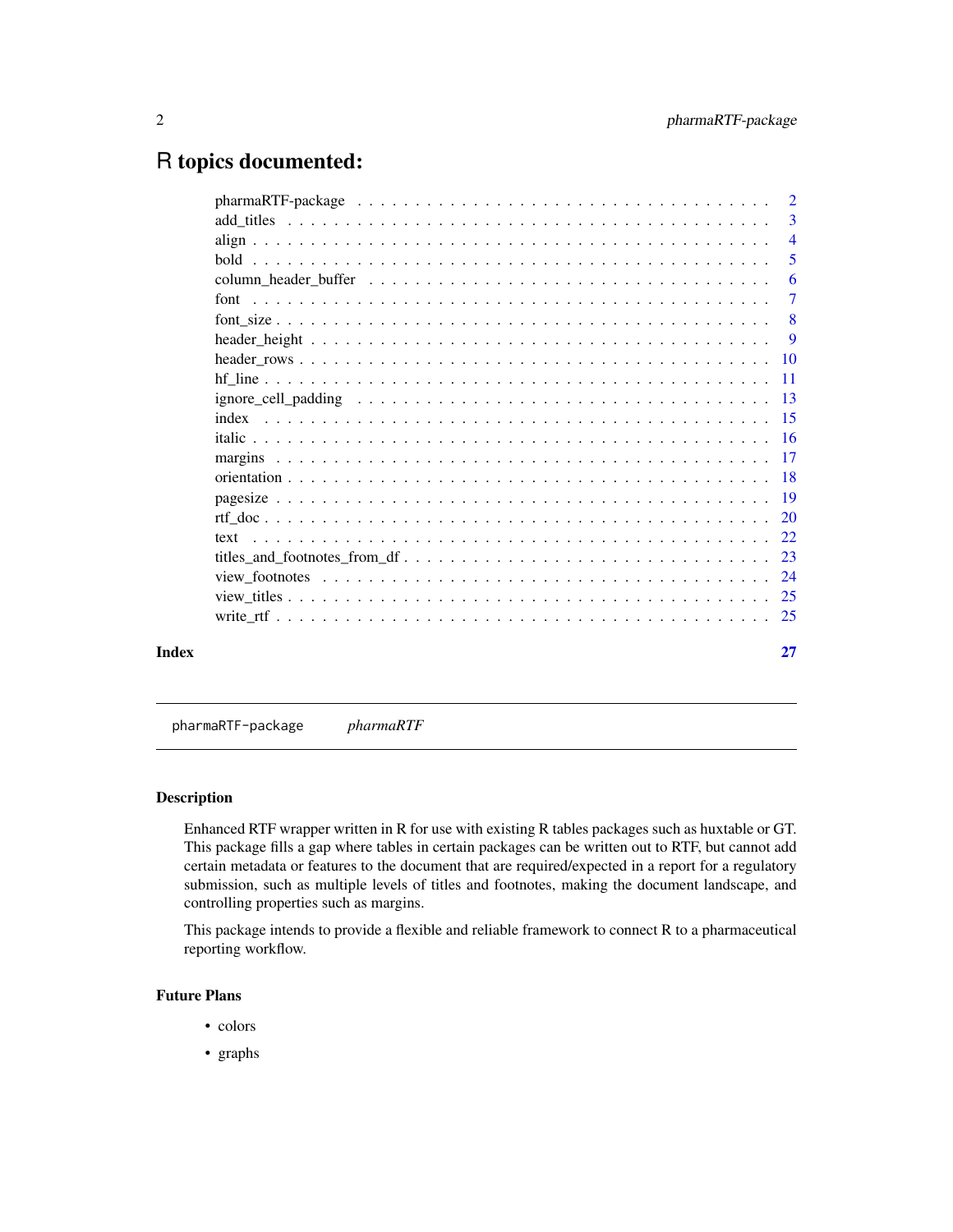## <span id="page-1-0"></span>R topics documented:

| $\overline{4}$<br>- 8 |    |  |  |  |  |  |  |  |  |  |  |  |  |  |  |  |  |  |  |  |  |  |  |  |  |  |       |
|-----------------------|----|--|--|--|--|--|--|--|--|--|--|--|--|--|--|--|--|--|--|--|--|--|--|--|--|--|-------|
|                       | 3  |  |  |  |  |  |  |  |  |  |  |  |  |  |  |  |  |  |  |  |  |  |  |  |  |  |       |
|                       |    |  |  |  |  |  |  |  |  |  |  |  |  |  |  |  |  |  |  |  |  |  |  |  |  |  |       |
|                       | 5  |  |  |  |  |  |  |  |  |  |  |  |  |  |  |  |  |  |  |  |  |  |  |  |  |  |       |
|                       | 6  |  |  |  |  |  |  |  |  |  |  |  |  |  |  |  |  |  |  |  |  |  |  |  |  |  |       |
|                       |    |  |  |  |  |  |  |  |  |  |  |  |  |  |  |  |  |  |  |  |  |  |  |  |  |  |       |
|                       |    |  |  |  |  |  |  |  |  |  |  |  |  |  |  |  |  |  |  |  |  |  |  |  |  |  |       |
|                       |    |  |  |  |  |  |  |  |  |  |  |  |  |  |  |  |  |  |  |  |  |  |  |  |  |  |       |
|                       |    |  |  |  |  |  |  |  |  |  |  |  |  |  |  |  |  |  |  |  |  |  |  |  |  |  |       |
|                       |    |  |  |  |  |  |  |  |  |  |  |  |  |  |  |  |  |  |  |  |  |  |  |  |  |  |       |
|                       |    |  |  |  |  |  |  |  |  |  |  |  |  |  |  |  |  |  |  |  |  |  |  |  |  |  |       |
|                       |    |  |  |  |  |  |  |  |  |  |  |  |  |  |  |  |  |  |  |  |  |  |  |  |  |  |       |
|                       |    |  |  |  |  |  |  |  |  |  |  |  |  |  |  |  |  |  |  |  |  |  |  |  |  |  |       |
|                       |    |  |  |  |  |  |  |  |  |  |  |  |  |  |  |  |  |  |  |  |  |  |  |  |  |  |       |
|                       |    |  |  |  |  |  |  |  |  |  |  |  |  |  |  |  |  |  |  |  |  |  |  |  |  |  |       |
|                       |    |  |  |  |  |  |  |  |  |  |  |  |  |  |  |  |  |  |  |  |  |  |  |  |  |  |       |
|                       |    |  |  |  |  |  |  |  |  |  |  |  |  |  |  |  |  |  |  |  |  |  |  |  |  |  |       |
|                       |    |  |  |  |  |  |  |  |  |  |  |  |  |  |  |  |  |  |  |  |  |  |  |  |  |  |       |
|                       |    |  |  |  |  |  |  |  |  |  |  |  |  |  |  |  |  |  |  |  |  |  |  |  |  |  |       |
|                       |    |  |  |  |  |  |  |  |  |  |  |  |  |  |  |  |  |  |  |  |  |  |  |  |  |  |       |
|                       |    |  |  |  |  |  |  |  |  |  |  |  |  |  |  |  |  |  |  |  |  |  |  |  |  |  |       |
|                       |    |  |  |  |  |  |  |  |  |  |  |  |  |  |  |  |  |  |  |  |  |  |  |  |  |  |       |
|                       | 27 |  |  |  |  |  |  |  |  |  |  |  |  |  |  |  |  |  |  |  |  |  |  |  |  |  | Index |

pharmaRTF-package *pharmaRTF*

## Description

Enhanced RTF wrapper written in R for use with existing R tables packages such as huxtable or GT. This package fills a gap where tables in certain packages can be written out to RTF, but cannot add certain metadata or features to the document that are required/expected in a report for a regulatory submission, such as multiple levels of titles and footnotes, making the document landscape, and controlling properties such as margins.

This package intends to provide a flexible and reliable framework to connect R to a pharmaceutical reporting workflow.

## Future Plans

- colors
- graphs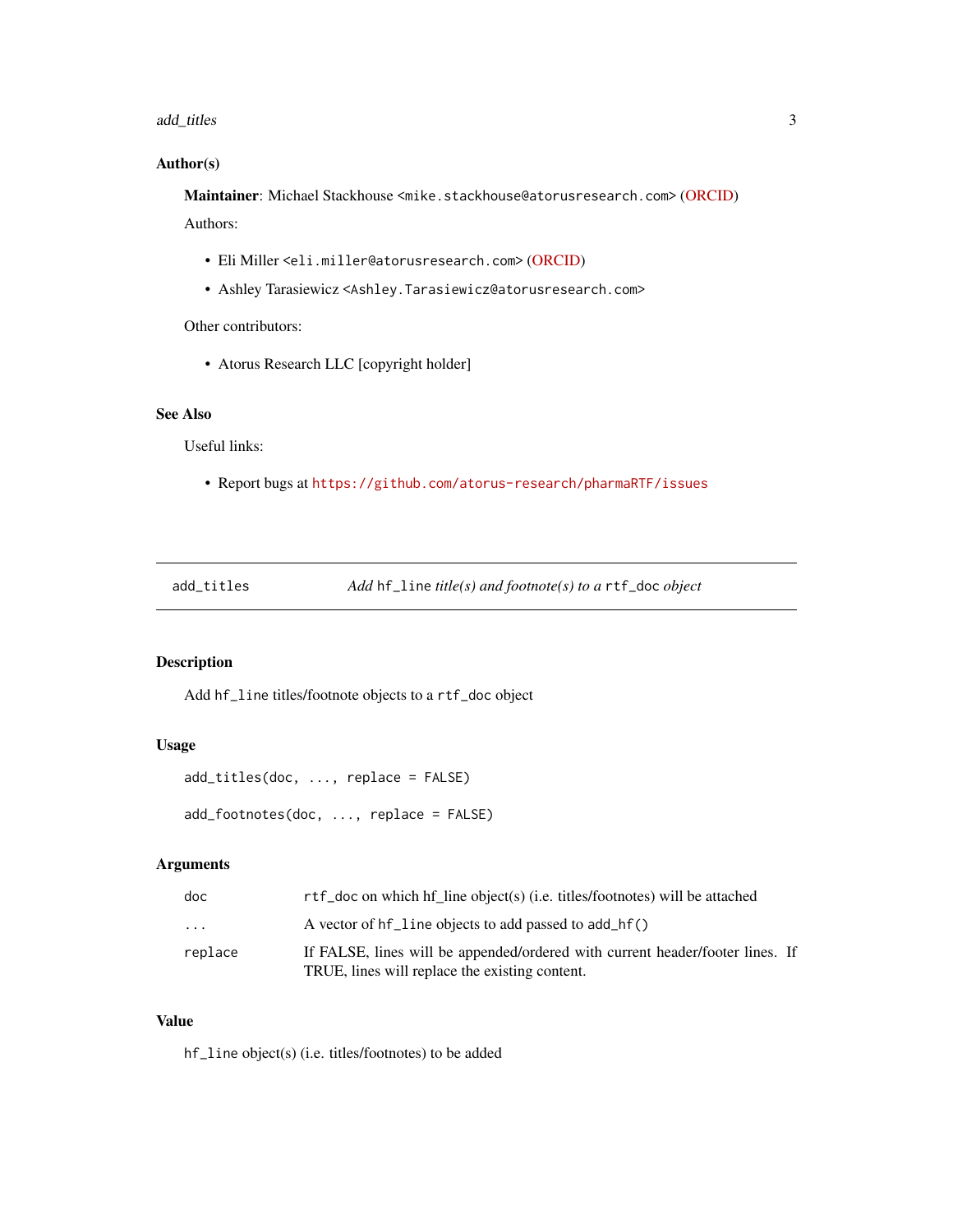#### <span id="page-2-0"></span>add\_titles 3

## Author(s)

Maintainer: Michael Stackhouse <mike.stackhouse@atorusresearch.com> [\(ORCID\)](https://orcid.org/0000-0001-6030-723X) Authors:

- Eli Miller <eli.miller@atorusresearch.com> [\(ORCID\)](https://orcid.org/0000-0002-2127-9456)
- Ashley Tarasiewicz <Ashley.Tarasiewicz@atorusresearch.com>

Other contributors:

• Atorus Research LLC [copyright holder]

## See Also

Useful links:

• Report bugs at <https://github.com/atorus-research/pharmaRTF/issues>

add\_titles *Add* hf\_line *title(s) and footnote(s) to a* rtf\_doc *object*

## Description

Add hf\_line titles/footnote objects to a rtf\_doc object

## Usage

```
add_titles(doc, ..., replace = FALSE)
```
add\_footnotes(doc, ..., replace = FALSE)

## Arguments

| doc     | rtf_doc on which hf line object(s) (i.e. titles/footnotes) will be attached                                                     |  |
|---------|---------------------------------------------------------------------------------------------------------------------------------|--|
| .       | A vector of hf_line objects to add passed to add_hf()                                                                           |  |
| replace | If FALSE, lines will be appended/ordered with current header/footer lines. If<br>TRUE, lines will replace the existing content. |  |

#### Value

hf\_line object(s) (i.e. titles/footnotes) to be added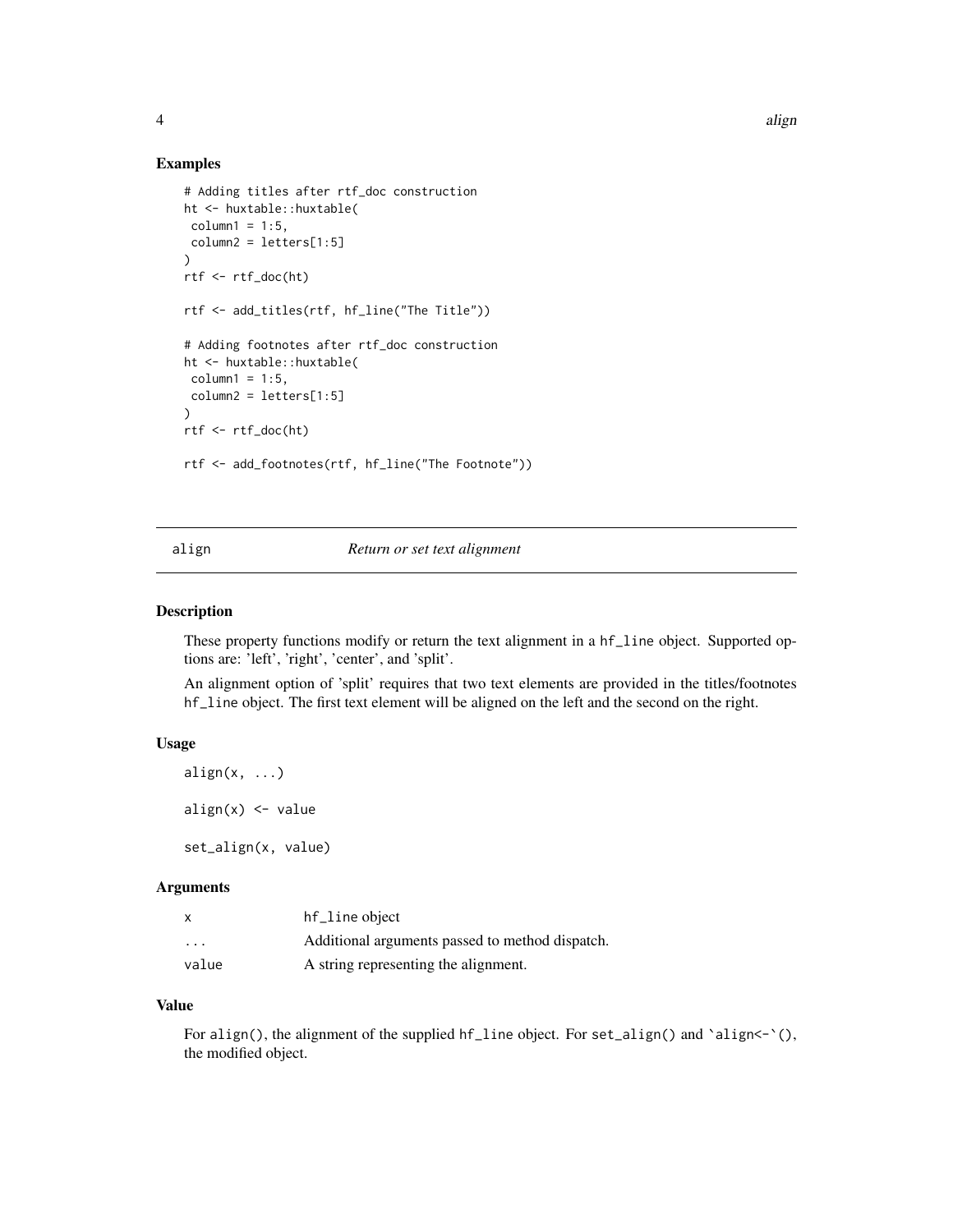#### Examples

```
# Adding titles after rtf_doc construction
ht <- huxtable::huxtable(
 column1 = 1:5,column2 = letters[1:5]
\lambdartf <- rtf_doc(ht)
rtf <- add_titles(rtf, hf_line("The Title"))
# Adding footnotes after rtf_doc construction
ht <- huxtable::huxtable(
column1 = 1:5,column2 = letters[1:5]
\lambdartf <- rtf_doc(ht)
rtf <- add_footnotes(rtf, hf_line("The Footnote"))
```
#### align *Return or set text alignment*

#### Description

These property functions modify or return the text alignment in a hf\_line object. Supported options are: 'left', 'right', 'center', and 'split'.

An alignment option of 'split' requires that two text elements are provided in the titles/footnotes hf\_line object. The first text element will be aligned on the left and the second on the right.

#### Usage

```
align(x, \ldots)align(x) < - value
set_align(x, value)
```
#### Arguments

| X                       | hf_line object                                  |
|-------------------------|-------------------------------------------------|
| $\cdot$ $\cdot$ $\cdot$ | Additional arguments passed to method dispatch. |
| value                   | A string representing the alignment.            |

## Value

For align(), the alignment of the supplied hf\_line object. For set\_align() and `align<-`(), the modified object.

<span id="page-3-0"></span>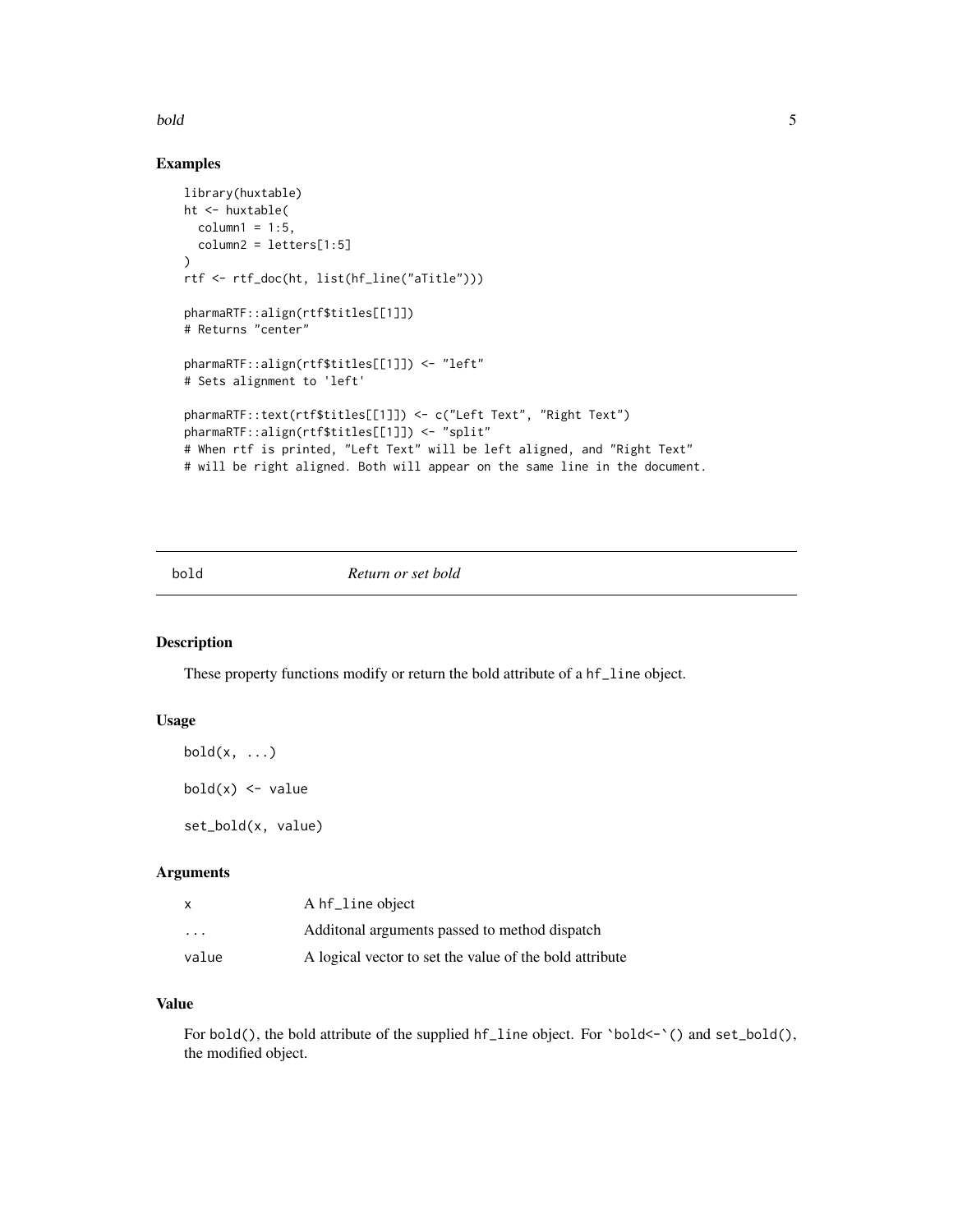#### <span id="page-4-0"></span>bold 5

## Examples

```
library(huxtable)
ht <- huxtable(
  column1 = 1:5,column2 = letters[1:5])
rtf <- rtf_doc(ht, list(hf_line("aTitle")))
pharmaRTF::align(rtf$titles[[1]])
# Returns "center"
pharmaRTF::align(rtf$titles[[1]]) <- "left"
# Sets alignment to 'left'
pharmaRTF::text(rtf$titles[[1]]) <- c("Left Text", "Right Text")
pharmaRTF::align(rtf$titles[[1]]) <- "split"
# When rtf is printed, "Left Text" will be left aligned, and "Right Text"
# will be right aligned. Both will appear on the same line in the document.
```
## bold *Return or set bold*

## Description

These property functions modify or return the bold attribute of a hf\_line object.

## Usage

```
bold(x, \ldots)
```
 $bold(x)$  <- value

set\_bold(x, value)

## Arguments

| x                       | A hf_line object                                        |
|-------------------------|---------------------------------------------------------|
| $\cdot$ $\cdot$ $\cdot$ | Additional arguments passed to method dispatch          |
| value                   | A logical vector to set the value of the bold attribute |

## Value

For bold(), the bold attribute of the supplied hf\_line object. For `bold<-`() and set\_bold(), the modified object.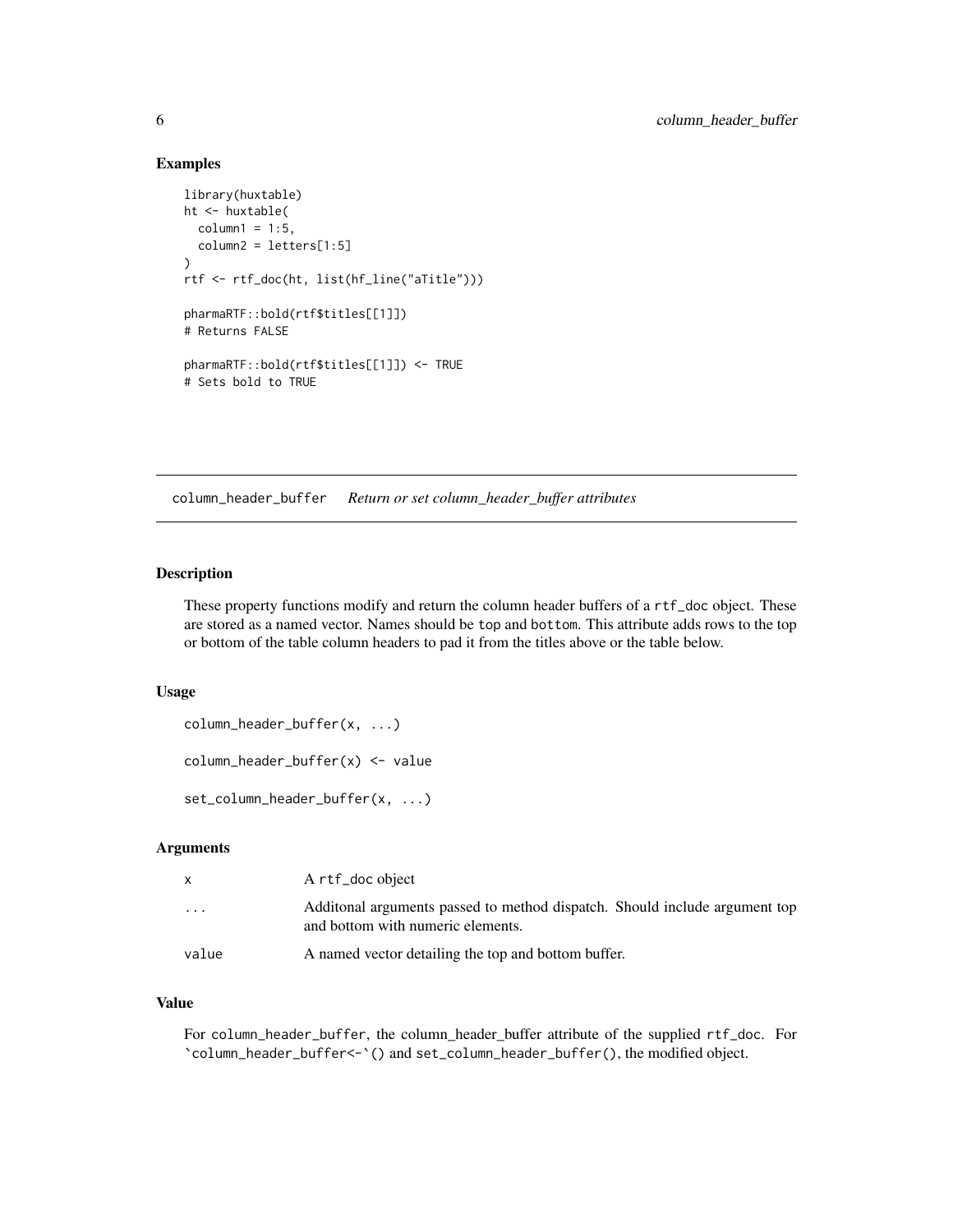## Examples

```
library(huxtable)
ht <- huxtable(
  column1 = 1:5,column2 = letters[1:5]
)
rtf <- rtf_doc(ht, list(hf_line("aTitle")))
pharmaRTF::bold(rtf$titles[[1]])
# Returns FALSE
pharmaRTF::bold(rtf$titles[[1]]) <- TRUE
# Sets bold to TRUE
```
column\_header\_buffer *Return or set column\_header\_buffer attributes*

## Description

These property functions modify and return the column header buffers of a rtf\_doc object. These are stored as a named vector. Names should be top and bottom. This attribute adds rows to the top or bottom of the table column headers to pad it from the titles above or the table below.

## Usage

column\_header\_buffer(x, ...)

column\_header\_buffer(x) <- value

set\_column\_header\_buffer(x, ...)

## Arguments

| X                       | A rtf_doc object                                                                                                 |
|-------------------------|------------------------------------------------------------------------------------------------------------------|
| $\cdot$ $\cdot$ $\cdot$ | Additional arguments passed to method dispatch. Should include argument top<br>and bottom with numeric elements. |
| value                   | A named vector detailing the top and bottom buffer.                                                              |

## Value

For column\_header\_buffer, the column\_header\_buffer attribute of the supplied rtf\_doc. For `column\_header\_buffer<-`() and set\_column\_header\_buffer(), the modified object.

<span id="page-5-0"></span>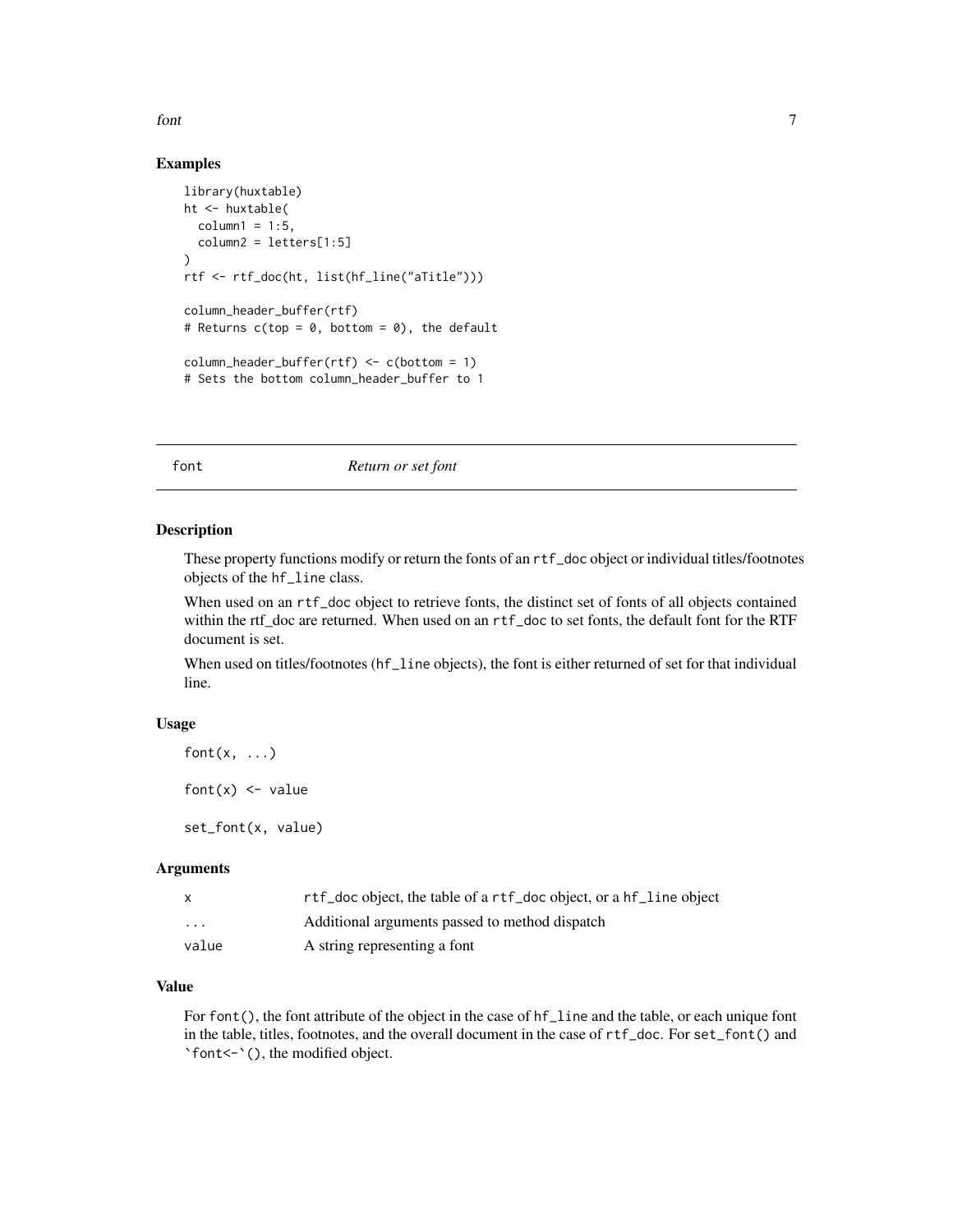<span id="page-6-0"></span>font 7

## Examples

```
library(huxtable)
ht <- huxtable(
  column1 = 1:5,column2 = letters[1:5]
\lambdartf <- rtf_doc(ht, list(hf_line("aTitle")))
column_header_buffer(rtf)
# Returns c(top = 0, bottom = 0), the default
column_header_buffer(rtf) <- c(bottom = 1)
# Sets the bottom column_header_buffer to 1
```
font *Return or set font*

## Description

These property functions modify or return the fonts of an rtf\_doc object or individual titles/footnotes objects of the hf\_line class.

When used on an rtf\_doc object to retrieve fonts, the distinct set of fonts of all objects contained within the rtf\_doc are returned. When used on an rtf\_doc to set fonts, the default font for the RTF document is set.

When used on titles/footnotes (hf\_line objects), the font is either returned of set for that individual line.

## Usage

```
font(x, \ldots)
```
font $(x)$  <- value

set\_font(x, value)

#### **Arguments**

| X        | rtf_doc object, the table of a rtf_doc object, or a hf_line object |
|----------|--------------------------------------------------------------------|
| $\cdots$ | Additional arguments passed to method dispatch                     |
| value    | A string representing a font                                       |

## Value

For font(), the font attribute of the object in the case of hf\_line and the table, or each unique font in the table, titles, footnotes, and the overall document in the case of rtf\_doc. For set\_font() and `font<-`(), the modified object.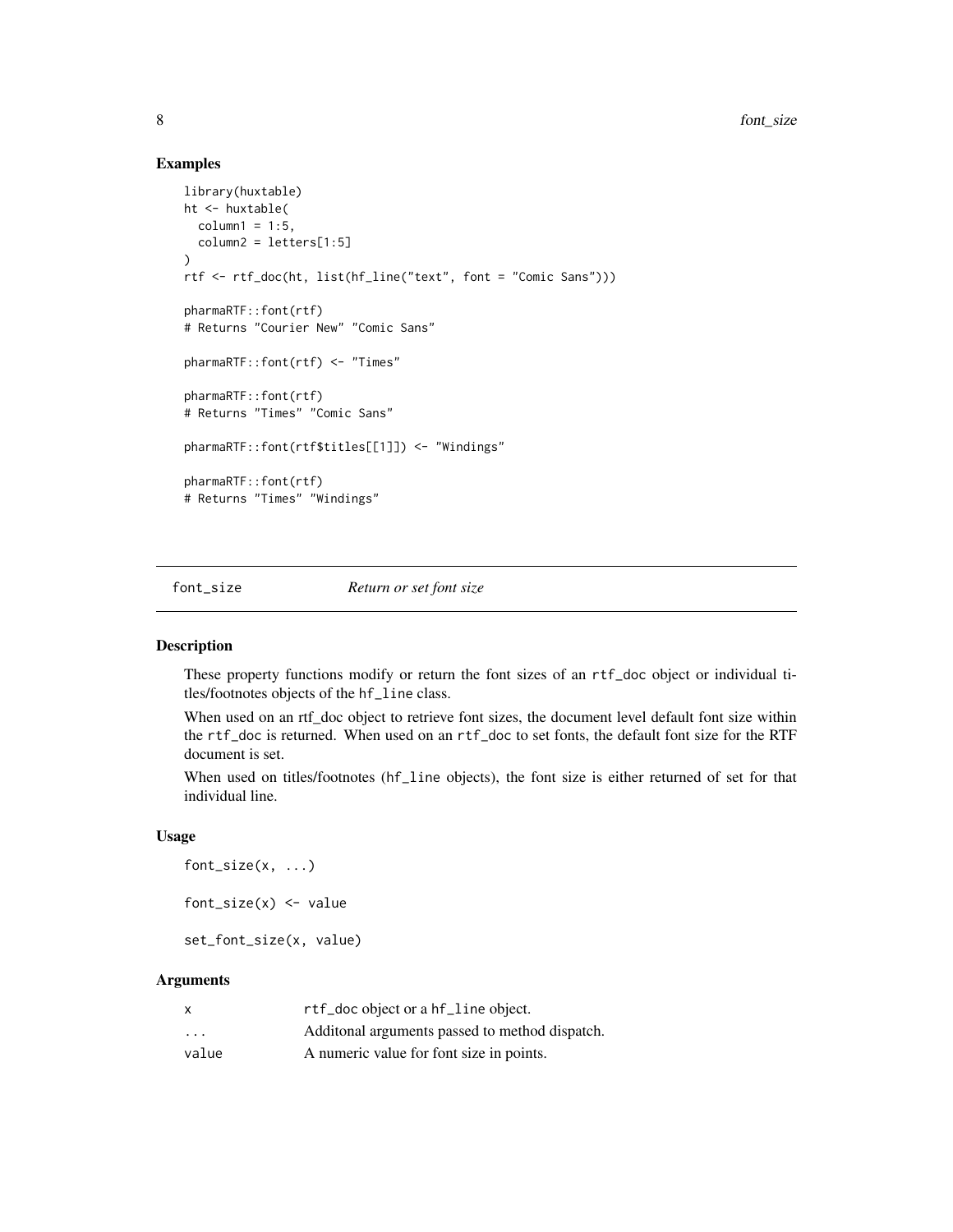## Examples

```
library(huxtable)
ht <- huxtable(
  column1 = 1:5,column2 = letters[1:5]
\lambdartf <- rtf_doc(ht, list(hf_line("text", font = "Comic Sans")))
pharmaRTF::font(rtf)
# Returns "Courier New" "Comic Sans"
pharmaRTF::font(rtf) <- "Times"
pharmaRTF::font(rtf)
# Returns "Times" "Comic Sans"
pharmaRTF::font(rtf$titles[[1]]) <- "Windings"
pharmaRTF::font(rtf)
# Returns "Times" "Windings"
```
font\_size *Return or set font size*

#### Description

These property functions modify or return the font sizes of an rtf\_doc object or individual titles/footnotes objects of the hf\_line class.

When used on an rtf\_doc object to retrieve font sizes, the document level default font size within the rtf\_doc is returned. When used on an rtf\_doc to set fonts, the default font size for the RTF document is set.

When used on titles/footnotes (hf\_line objects), the font size is either returned of set for that individual line.

#### Usage

 $font\_size(x, ...)$ font\_size $(x)$  <- value set\_font\_size(x, value)

#### Arguments

| x                       | rtf_doc object or a hf_line object.             |
|-------------------------|-------------------------------------------------|
| $\cdot$ $\cdot$ $\cdot$ | Additional arguments passed to method dispatch. |
| value                   | A numeric value for font size in points.        |

<span id="page-7-0"></span>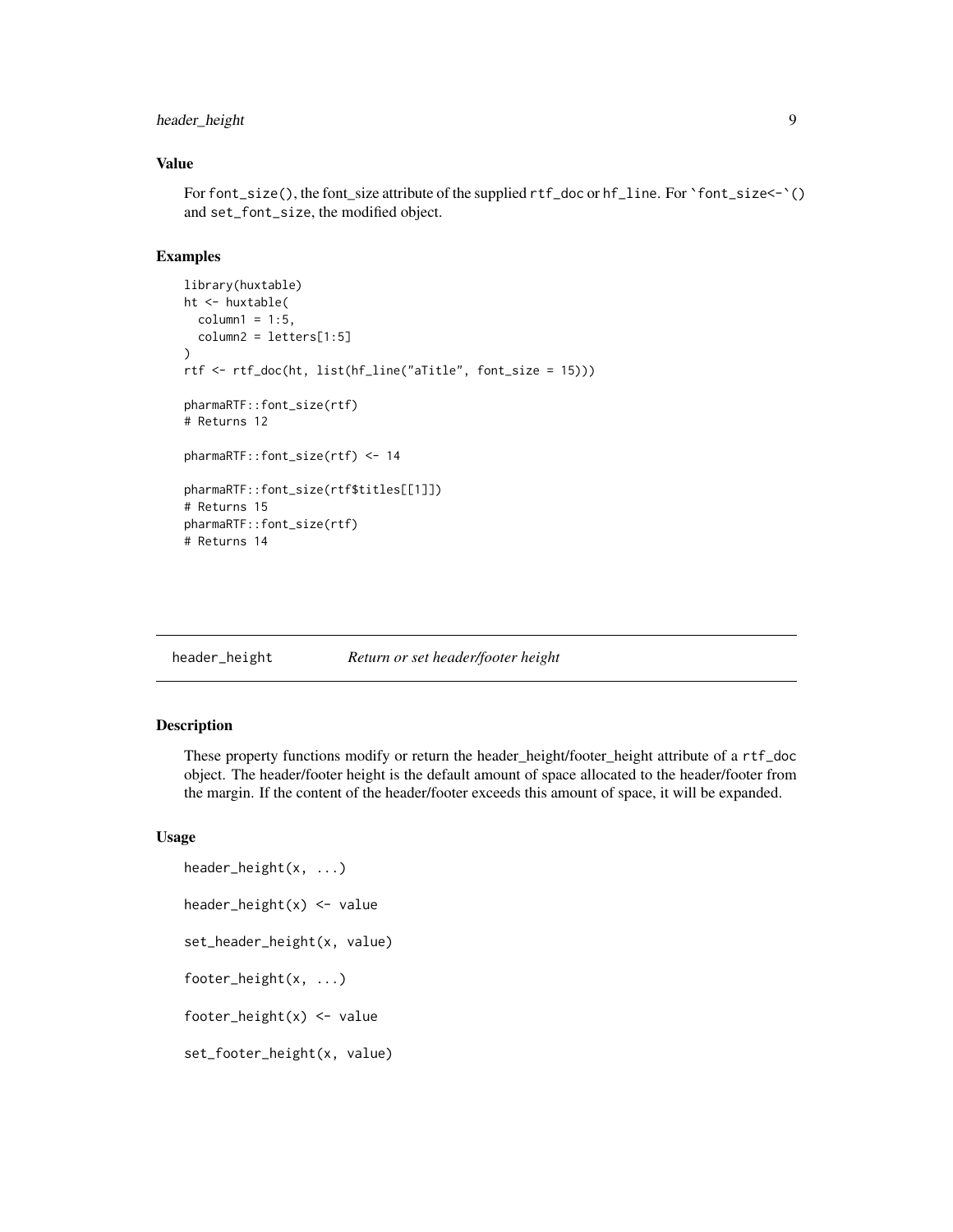## <span id="page-8-0"></span>header\_height 9

## Value

For font\_size(), the font\_size attribute of the supplied rtf\_doc or hf\_line. For `font\_size<-`() and set\_font\_size, the modified object.

## Examples

```
library(huxtable)
ht <- huxtable(
  column1 = 1:5,column2 = letters[1:5])
rtf <- rtf_doc(ht, list(hf_line("aTitle", font_size = 15)))
pharmaRTF::font_size(rtf)
# Returns 12
pharmaRTF::font_size(rtf) <- 14
pharmaRTF::font_size(rtf$titles[[1]])
# Returns 15
pharmaRTF::font_size(rtf)
# Returns 14
```
header\_height *Return or set header/footer height*

## Description

These property functions modify or return the header\_height/footer\_height attribute of a rtf\_doc object. The header/footer height is the default amount of space allocated to the header/footer from the margin. If the content of the header/footer exceeds this amount of space, it will be expanded.

### Usage

```
header_height(x, ...)
header_height(x) <- value
set_header_height(x, value)
footer_height(x, ...)
footer_height(x) <- value
set_footer_height(x, value)
```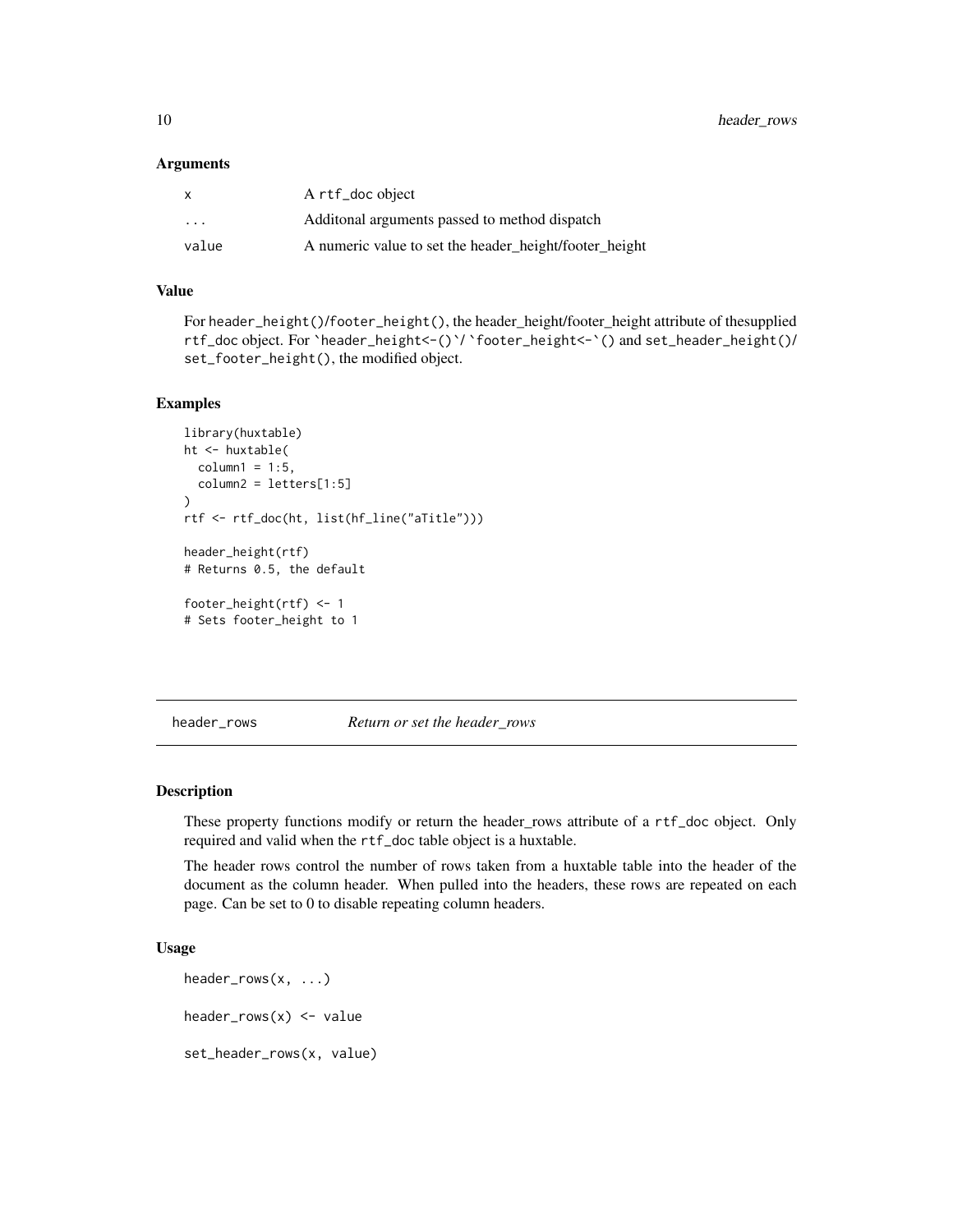#### <span id="page-9-0"></span>**Arguments**

| $\mathsf{x}$ | A rtf_doc object                                       |
|--------------|--------------------------------------------------------|
| $\cdots$     | Additional arguments passed to method dispatch         |
| value        | A numeric value to set the header_height/footer_height |

## Value

For header\_height()/footer\_height(), the header\_height/footer\_height attribute of thesupplied rtf\_doc object. For `header\_height<-()`/ `footer\_height<-`() and set\_header\_height()/ set\_footer\_height(), the modified object.

## Examples

```
library(huxtable)
ht <- huxtable(
  column1 = 1:5,column2 = letters[1:5])
rtf <- rtf_doc(ht, list(hf_line("aTitle")))
header_height(rtf)
# Returns 0.5, the default
footer_height(rtf) <- 1
# Sets footer_height to 1
```
header\_rows *Return or set the header\_rows*

#### Description

These property functions modify or return the header\_rows attribute of a rtf\_doc object. Only required and valid when the rtf\_doc table object is a huxtable.

The header rows control the number of rows taken from a huxtable table into the header of the document as the column header. When pulled into the headers, these rows are repeated on each page. Can be set to 0 to disable repeating column headers.

#### Usage

```
header_rows(x, ...)
header_{rows}(x) \leq - valueset_header_rows(x, value)
```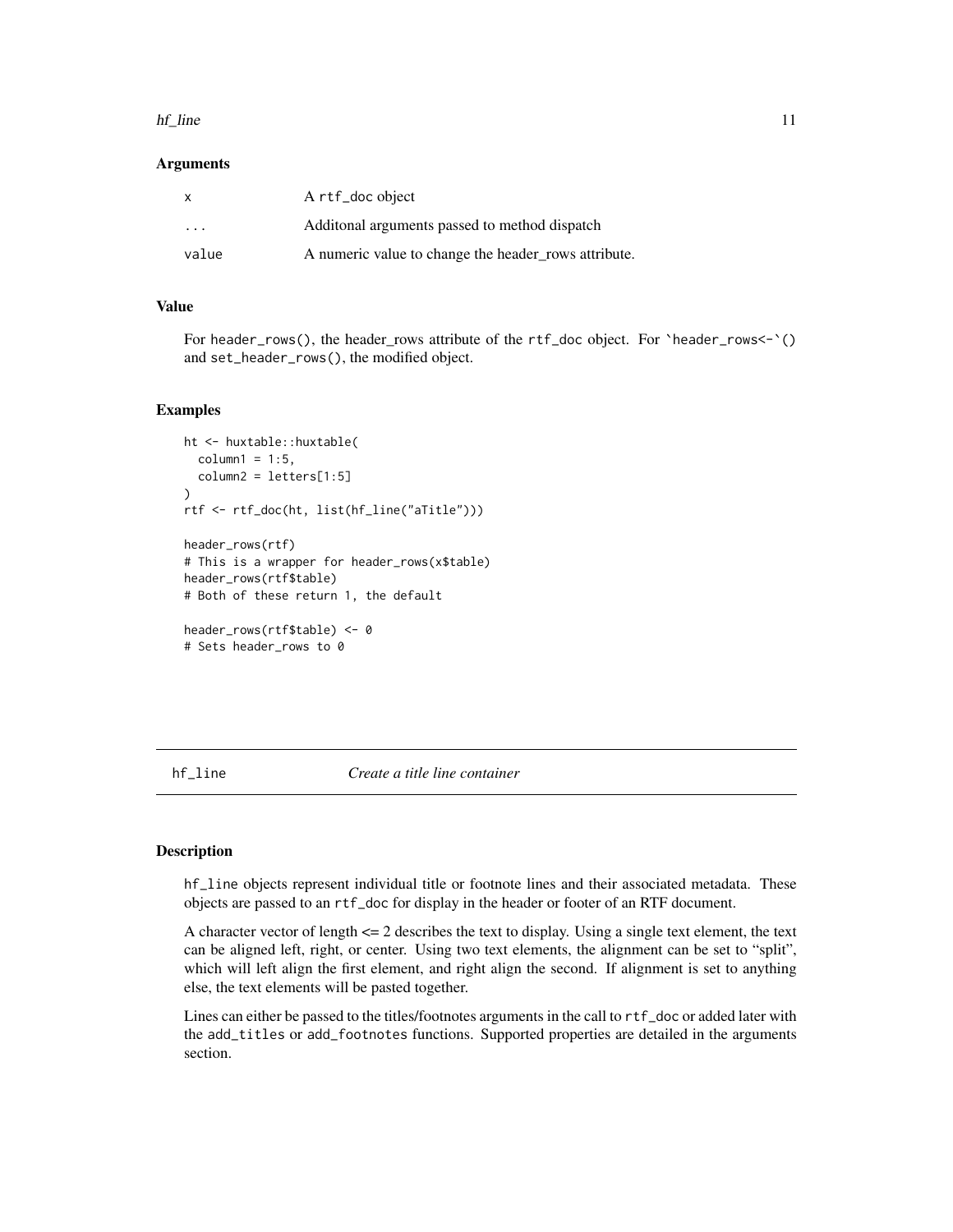#### <span id="page-10-0"></span>hf\_line 11

#### Arguments

| $\mathsf{x}$ | A rtf_doc object                                     |
|--------------|------------------------------------------------------|
| .            | Additional arguments passed to method dispatch       |
| value        | A numeric value to change the header rows attribute. |

## Value

For header\_rows(), the header\_rows attribute of the rtf\_doc object. For `header\_rows<-`() and set\_header\_rows(), the modified object.

## Examples

```
ht <- huxtable::huxtable(
  column1 = 1:5,
  column2 = letters[1:5])
rtf <- rtf_doc(ht, list(hf_line("aTitle")))
header_rows(rtf)
# This is a wrapper for header_rows(x$table)
header_rows(rtf$table)
# Both of these return 1, the default
header_rows(rtf$table) <- 0
# Sets header_rows to 0
```
<span id="page-10-1"></span>hf\_line *Create a title line container*

#### Description

hf\_line objects represent individual title or footnote lines and their associated metadata. These objects are passed to an rtf\_doc for display in the header or footer of an RTF document.

A character vector of length <= 2 describes the text to display. Using a single text element, the text can be aligned left, right, or center. Using two text elements, the alignment can be set to "split", which will left align the first element, and right align the second. If alignment is set to anything else, the text elements will be pasted together.

Lines can either be passed to the titles/footnotes arguments in the call to rtf\_doc or added later with the add\_titles or add\_footnotes functions. Supported properties are detailed in the arguments section.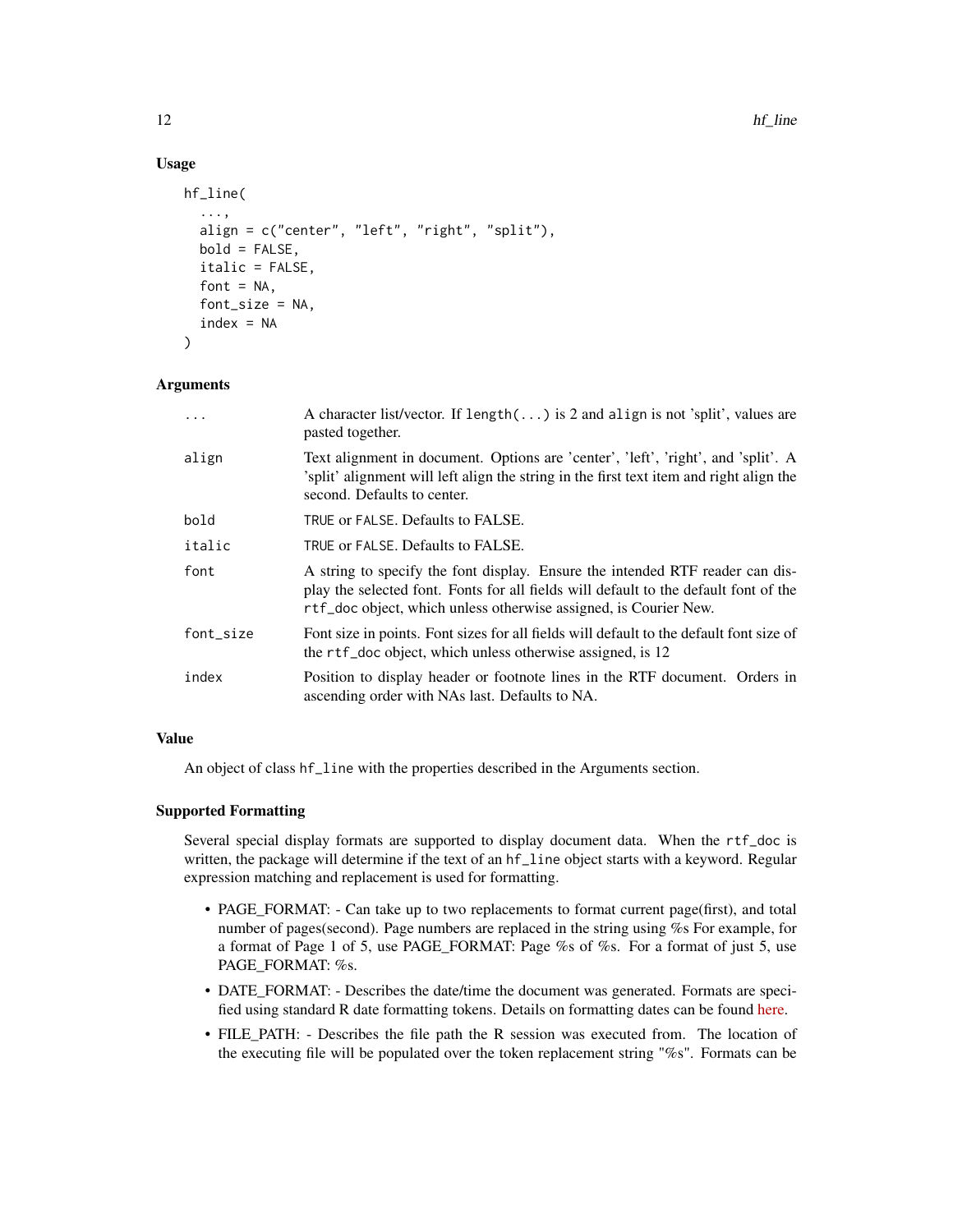## Usage

```
hf_line(
  ...,
  align = c("center", "left", "right", "split"),
  bold = FALSE,italic = FALSE,
  font = NA,
  font_size = NA,
  index = NA)
```
## Arguments

| $\cdots$  | A character list/vector. If $length()$ is 2 and align is not 'split', values are<br>pasted together.                                                                                                                                      |
|-----------|-------------------------------------------------------------------------------------------------------------------------------------------------------------------------------------------------------------------------------------------|
| align     | Text alignment in document. Options are 'center', 'left', 'right', and 'split'. A<br>'split' alignment will left align the string in the first text item and right align the<br>second. Defaults to center.                               |
| bold      | TRUE or FALSE. Defaults to FALSE.                                                                                                                                                                                                         |
| italic    | TRUE or FALSE. Defaults to FALSE.                                                                                                                                                                                                         |
| font      | A string to specify the font display. Ensure the intended RTF reader can dis-<br>play the selected font. Fonts for all fields will default to the default font of the<br>rtf_doc object, which unless otherwise assigned, is Courier New. |
| font size | Font size in points. Font sizes for all fields will default to the default font size of<br>the rtf_doc object, which unless otherwise assigned, is 12                                                                                     |
| index     | Position to display header or footnote lines in the RTF document. Orders in<br>ascending order with NAs last. Defaults to NA.                                                                                                             |
|           |                                                                                                                                                                                                                                           |

#### Value

An object of class hf\_line with the properties described in the Arguments section.

## Supported Formatting

Several special display formats are supported to display document data. When the rtf\_doc is written, the package will determine if the text of an hf\_line object starts with a keyword. Regular expression matching and replacement is used for formatting.

- PAGE\_FORMAT: Can take up to two replacements to format current page(first), and total number of pages(second). Page numbers are replaced in the string using %s For example, for a format of Page 1 of 5, use PAGE\_FORMAT: Page %s of %s. For a format of just 5, use PAGE\_FORMAT: %s.
- DATE\_FORMAT: Describes the date/time the document was generated. Formats are specified using standard R date formatting tokens. Details on formatting dates can be found [here.](https://www.r-bloggers.com/2013/08/date-formats-in-r/)
- FILE\_PATH: Describes the file path the R session was executed from. The location of the executing file will be populated over the token replacement string "%s". Formats can be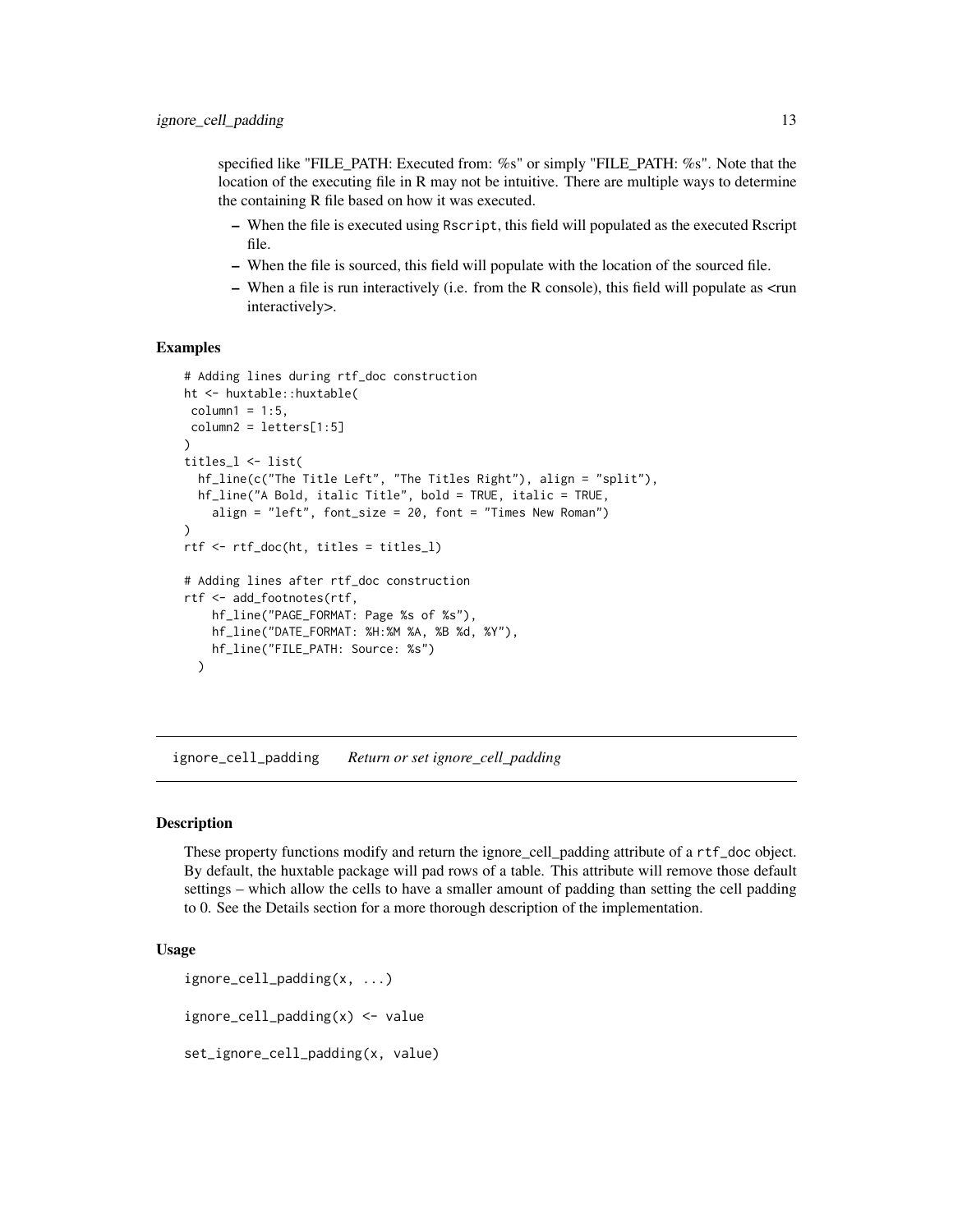<span id="page-12-0"></span>specified like "FILE\_PATH: Executed from: %s" or simply "FILE\_PATH: %s". Note that the location of the executing file in R may not be intuitive. There are multiple ways to determine the containing R file based on how it was executed.

- When the file is executed using Rscript, this field will populated as the executed Rscript file.
- When the file is sourced, this field will populate with the location of the sourced file.
- When a file is run interactively (i.e. from the R console), this field will populate as <run interactively>.

#### Examples

```
# Adding lines during rtf_doc construction
ht <- huxtable::huxtable(
column1 = 1:5,column2 = letters[1:5]
)
titles_l <- list(
 hf_line(c("The Title Left", "The Titles Right"), align = "split"),
 hf_line("A Bold, italic Title", bold = TRUE, italic = TRUE,
    align = "left", font_size = 20, font = "Times New Roman")
)
rtf <- rtf_doc(ht, titles = titles_l)
# Adding lines after rtf_doc construction
rtf <- add_footnotes(rtf,
    hf_line("PAGE_FORMAT: Page %s of %s"),
   hf_line("DATE_FORMAT: %H:%M %A, %B %d, %Y"),
   hf_line("FILE_PATH: Source: %s")
 )
```
ignore\_cell\_padding *Return or set ignore\_cell\_padding*

#### Description

These property functions modify and return the ignore\_cell\_padding attribute of a rtf\_doc object. By default, the huxtable package will pad rows of a table. This attribute will remove those default settings – which allow the cells to have a smaller amount of padding than setting the cell padding to 0. See the Details section for a more thorough description of the implementation.

## Usage

```
ignore_cell_padding(x, ...)
ignore_cell_padding(x) <- value
set_ignore_cell_padding(x, value)
```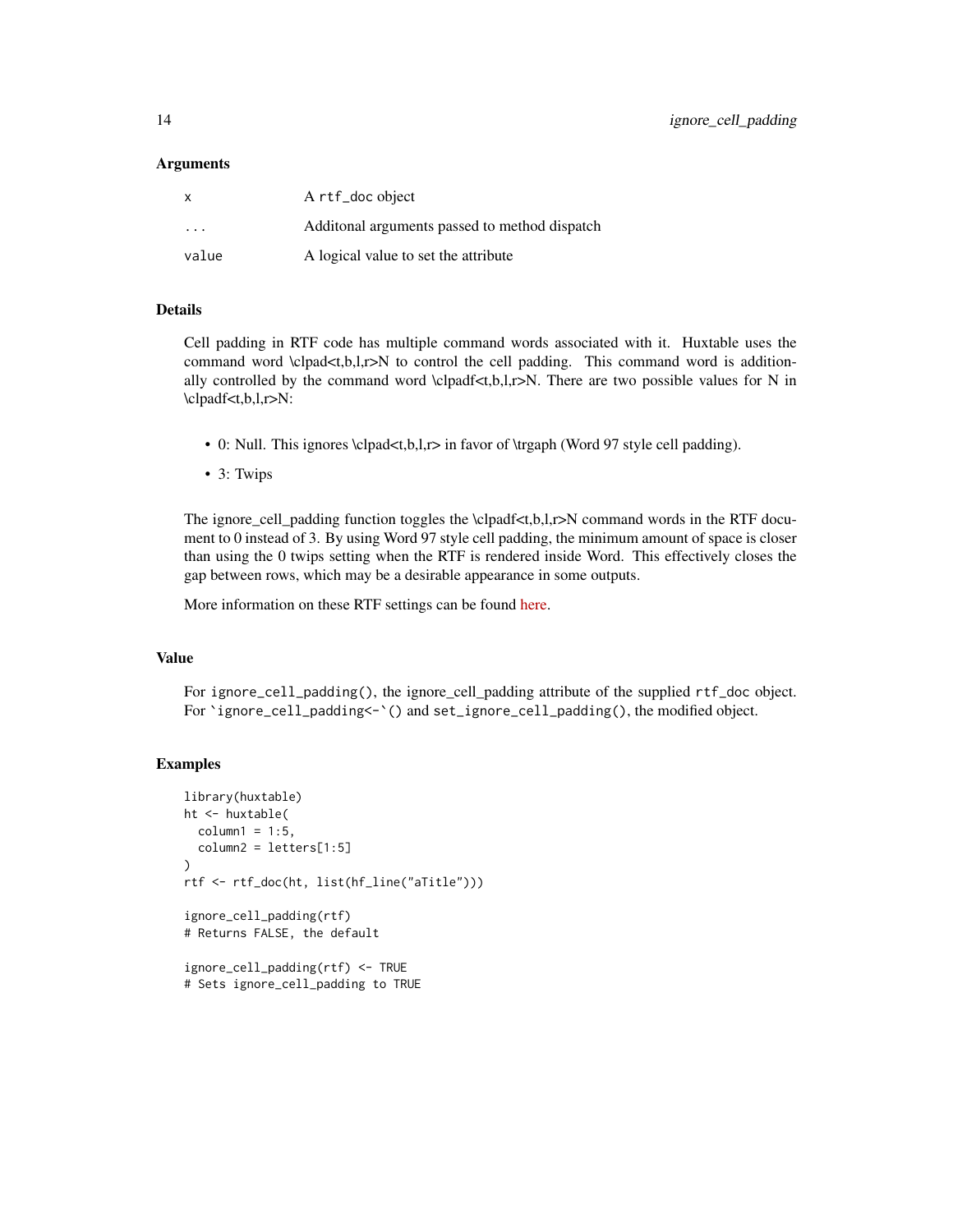#### Arguments

| X     | A rtf_doc object                               |
|-------|------------------------------------------------|
| .     | Additional arguments passed to method dispatch |
| value | A logical value to set the attribute           |

## Details

Cell padding in RTF code has multiple command words associated with it. Huxtable uses the command word  $\label{eq:cond} \cosh\left(\frac{1}{2}, \frac{1}{2}\right)$  to control the cell padding. This command word is additionally controlled by the command word  $\clap{\cup$ padf<t,b,l,r>N. There are two possible values for N in \clpadf<t,b,l,r>N:

- 0: Null. This ignores \clpad<t,b,l,r> in favor of \trgaph (Word 97 style cell padding).
- 3: Twips

The ignore\_cell\_padding function toggles the \clpadf<t,b,l,r>N command words in the RTF document to 0 instead of 3. By using Word 97 style cell padding, the minimum amount of space is closer than using the 0 twips setting when the RTF is rendered inside Word. This effectively closes the gap between rows, which may be a desirable appearance in some outputs.

More information on these RTF settings can be found [here.](http://www.biblioscape.com/rtf15_spec.htm)

## Value

For ignore\_cell\_padding(), the ignore\_cell\_padding attribute of the supplied rtf\_doc object. For `ignore\_cell\_padding<-`() and set\_ignore\_cell\_padding(), the modified object.

```
library(huxtable)
ht <- huxtable(
 column1 = 1:5,column2 = letters[1:5]
)
rtf <- rtf_doc(ht, list(hf_line("aTitle")))
ignore_cell_padding(rtf)
# Returns FALSE, the default
ignore_cell_padding(rtf) <- TRUE
```

```
# Sets ignore_cell_padding to TRUE
```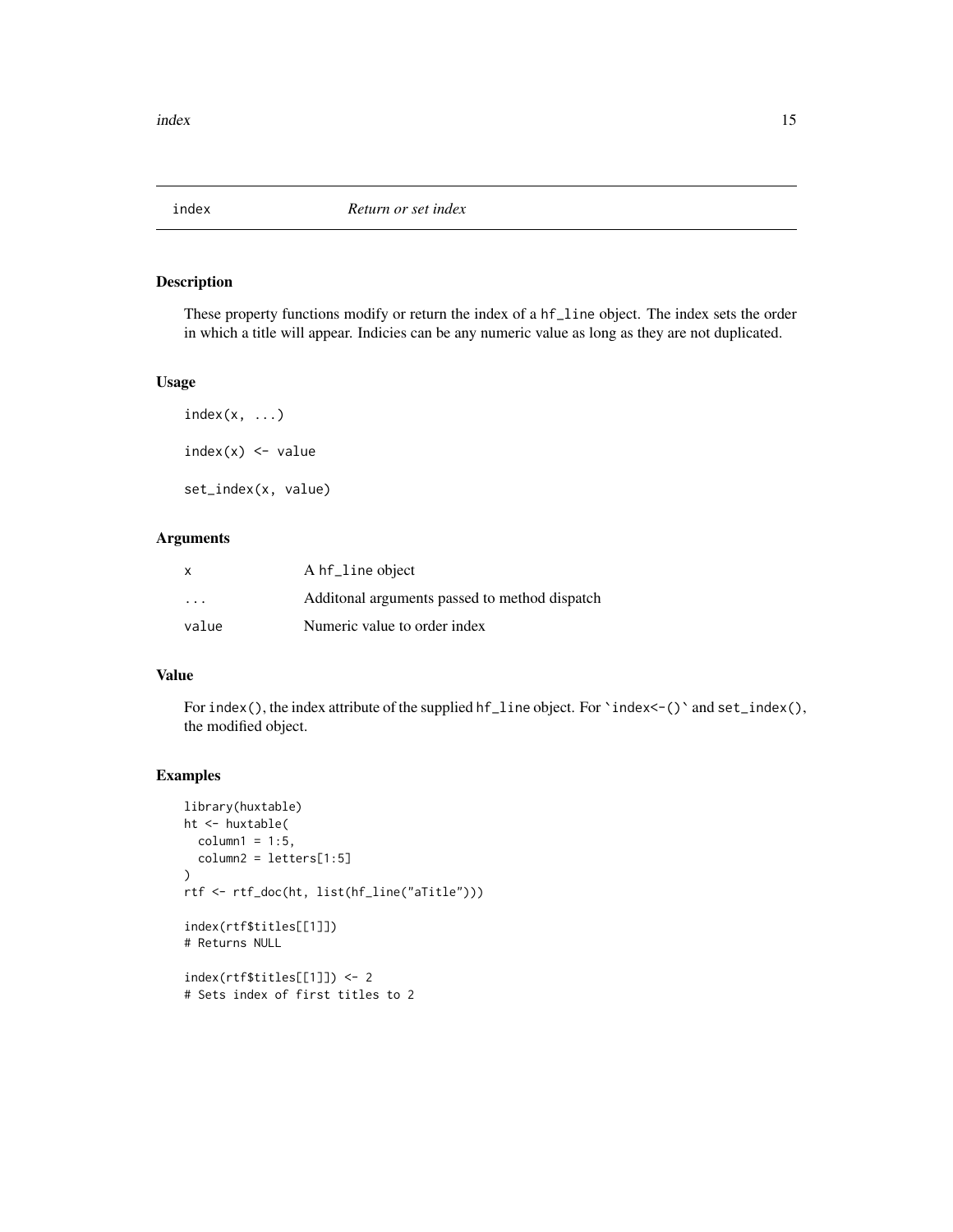<span id="page-14-0"></span>

These property functions modify or return the index of a hf\_line object. The index sets the order in which a title will appear. Indicies can be any numeric value as long as they are not duplicated.

## Usage

 $index(x, \ldots)$  $index(x) < - value$ set\_index(x, value)

## Arguments

| X                       | A hf_line object                               |
|-------------------------|------------------------------------------------|
| $\cdot$ $\cdot$ $\cdot$ | Additional arguments passed to method dispatch |
| value                   | Numeric value to order index                   |

## Value

For index(), the index attribute of the supplied hf\_line object. For `index<-()` and set\_index(), the modified object.

```
library(huxtable)
ht <- huxtable(
  column1 = 1:5,column2 = letters[1:5]
\mathcal{L}rtf <- rtf_doc(ht, list(hf_line("aTitle")))
index(rtf$titles[[1]])
# Returns NULL
index(rtf$titles[[1]]) <- 2
# Sets index of first titles to 2
```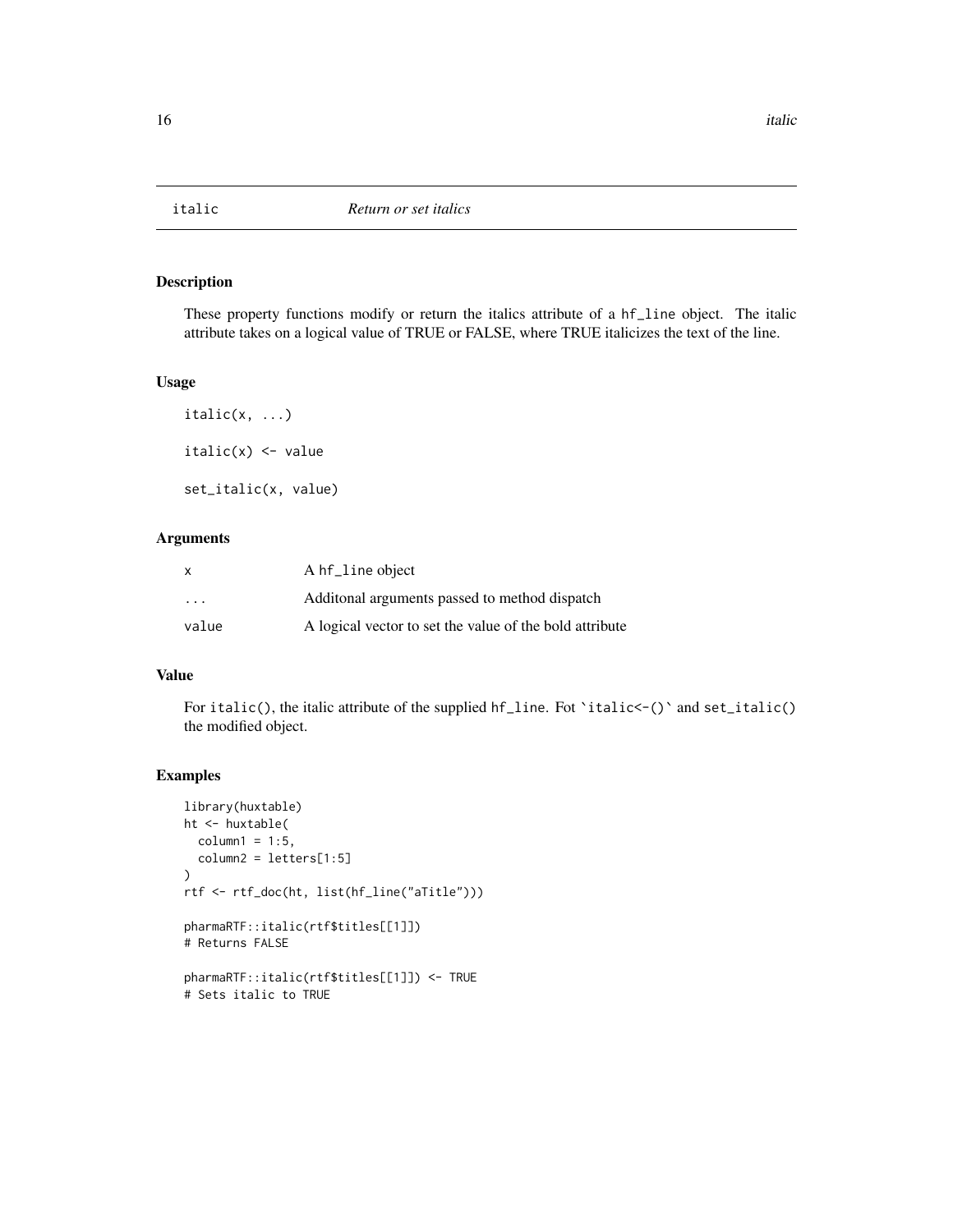<span id="page-15-0"></span>

These property functions modify or return the italics attribute of a hf\_line object. The italic attribute takes on a logical value of TRUE or FALSE, where TRUE italicizes the text of the line.

#### Usage

 $italic(x, \ldots)$  $italic(x) < -value$ set\_italic(x, value)

## Arguments

| x                       | A hf_line object                                        |
|-------------------------|---------------------------------------------------------|
| $\cdot$ $\cdot$ $\cdot$ | Additional arguments passed to method dispatch          |
| value                   | A logical vector to set the value of the bold attribute |

## Value

For italic(), the italic attribute of the supplied hf\_line. Fot 'italic<-()' and set\_italic() the modified object.

```
library(huxtable)
ht <- huxtable(
  column1 = 1:5,column2 = letters[1:5]
\mathcal{L}rtf <- rtf_doc(ht, list(hf_line("aTitle")))
pharmaRTF::italic(rtf$titles[[1]])
# Returns FALSE
pharmaRTF::italic(rtf$titles[[1]]) <- TRUE
# Sets italic to TRUE
```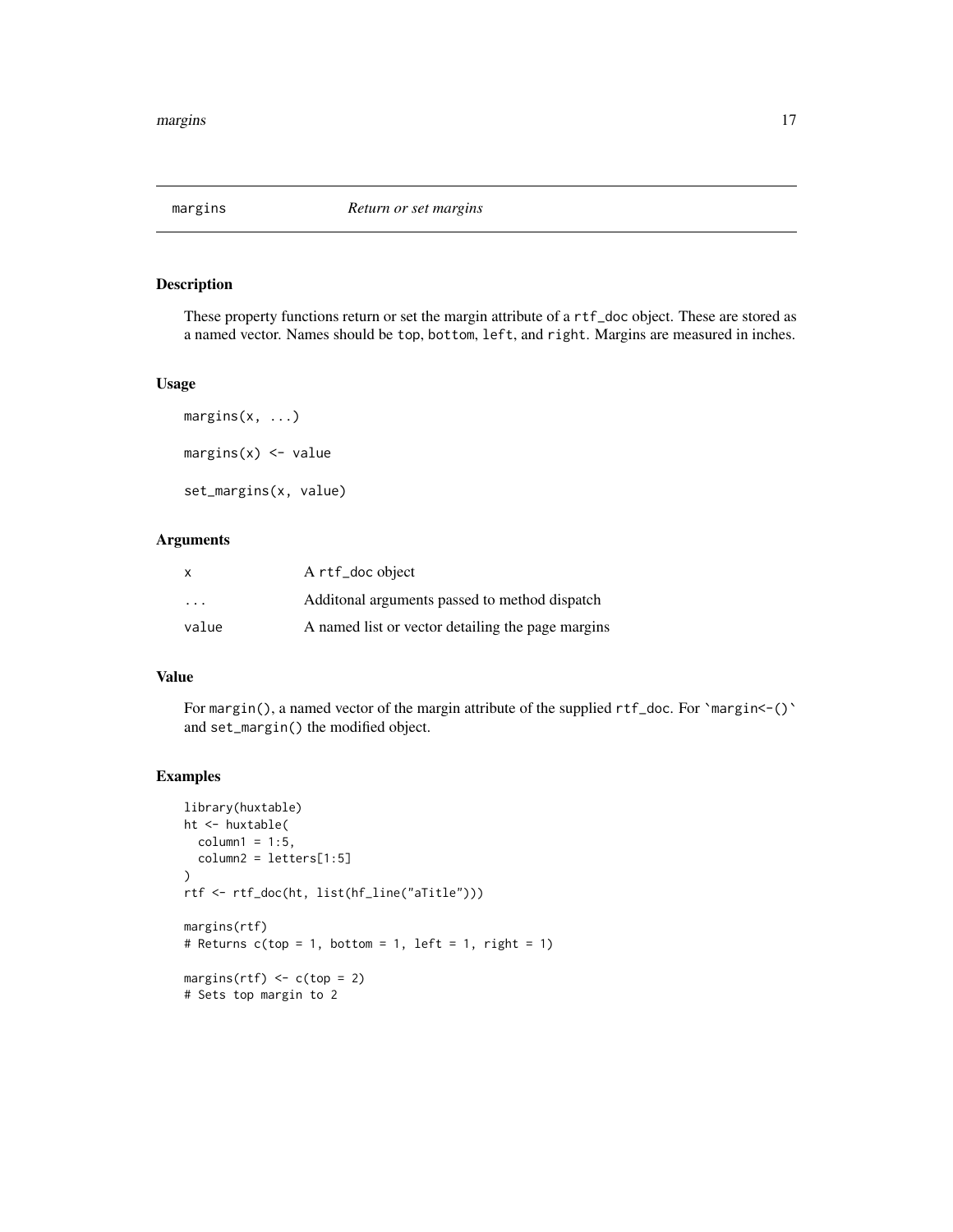<span id="page-16-0"></span>

These property functions return or set the margin attribute of a rtf\_doc object. These are stored as a named vector. Names should be top, bottom, left, and right. Margins are measured in inches.

## Usage

```
margins(x, ...)
margins(x) <- value
set_margins(x, value)
```
## Arguments

| X                       | A rtf_doc object                                  |
|-------------------------|---------------------------------------------------|
| $\cdot$ $\cdot$ $\cdot$ | Additional arguments passed to method dispatch    |
| value                   | A named list or vector detailing the page margins |

## Value

For margin(), a named vector of the margin attribute of the supplied rtf\_doc. For `margin<-()` and set\_margin() the modified object.

```
library(huxtable)
ht <- huxtable(
 column1 = 1:5,column2 = letters[1:5]
\lambdartf <- rtf_doc(ht, list(hf_line("aTitle")))
margins(rtf)
# Returns c(top = 1, bottom = 1, left = 1, right = 1)margins(rtf) \leq c(top = 2)
# Sets top margin to 2
```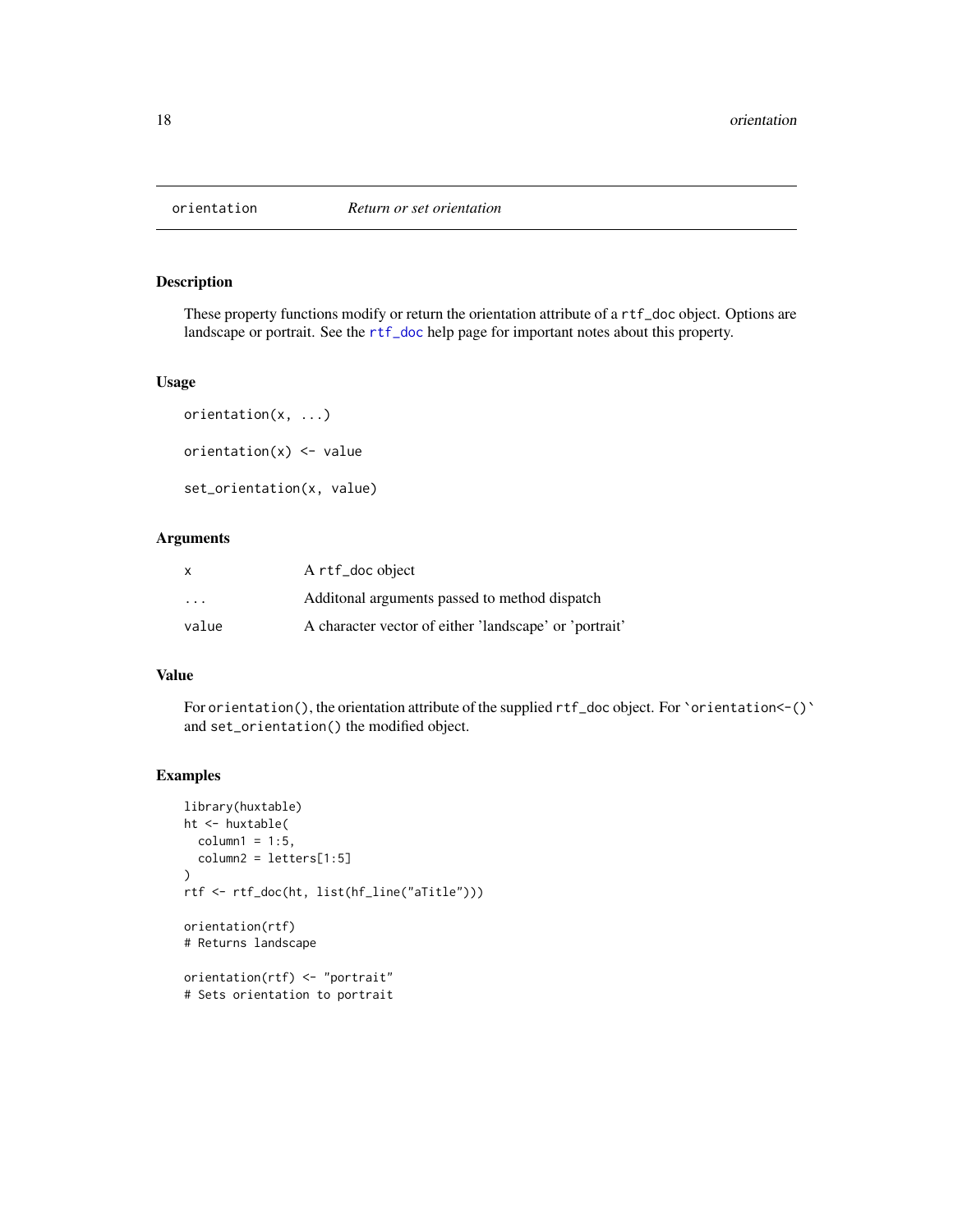<span id="page-17-0"></span>

These property functions modify or return the orientation attribute of a rtf\_doc object. Options are landscape or portrait. See the [rtf\\_doc](#page-19-1) help page for important notes about this property.

#### Usage

```
orientation(x, ...)
orientation(x) <- value
set_orientation(x, value)
```
## Arguments

| X                 | A rtf_doc object                                       |
|-------------------|--------------------------------------------------------|
| $\cdot\cdot\cdot$ | Additional arguments passed to method dispatch         |
| value             | A character vector of either 'landscape' or 'portrait' |

## Value

For orientation(), the orientation attribute of the supplied rtf\_doc object. For `orientation<-()` and set\_orientation() the modified object.

```
library(huxtable)
ht <- huxtable(
 column1 = 1:5,column2 = letters[1:5]
)
rtf <- rtf_doc(ht, list(hf_line("aTitle")))
orientation(rtf)
# Returns landscape
orientation(rtf) <- "portrait"
# Sets orientation to portrait
```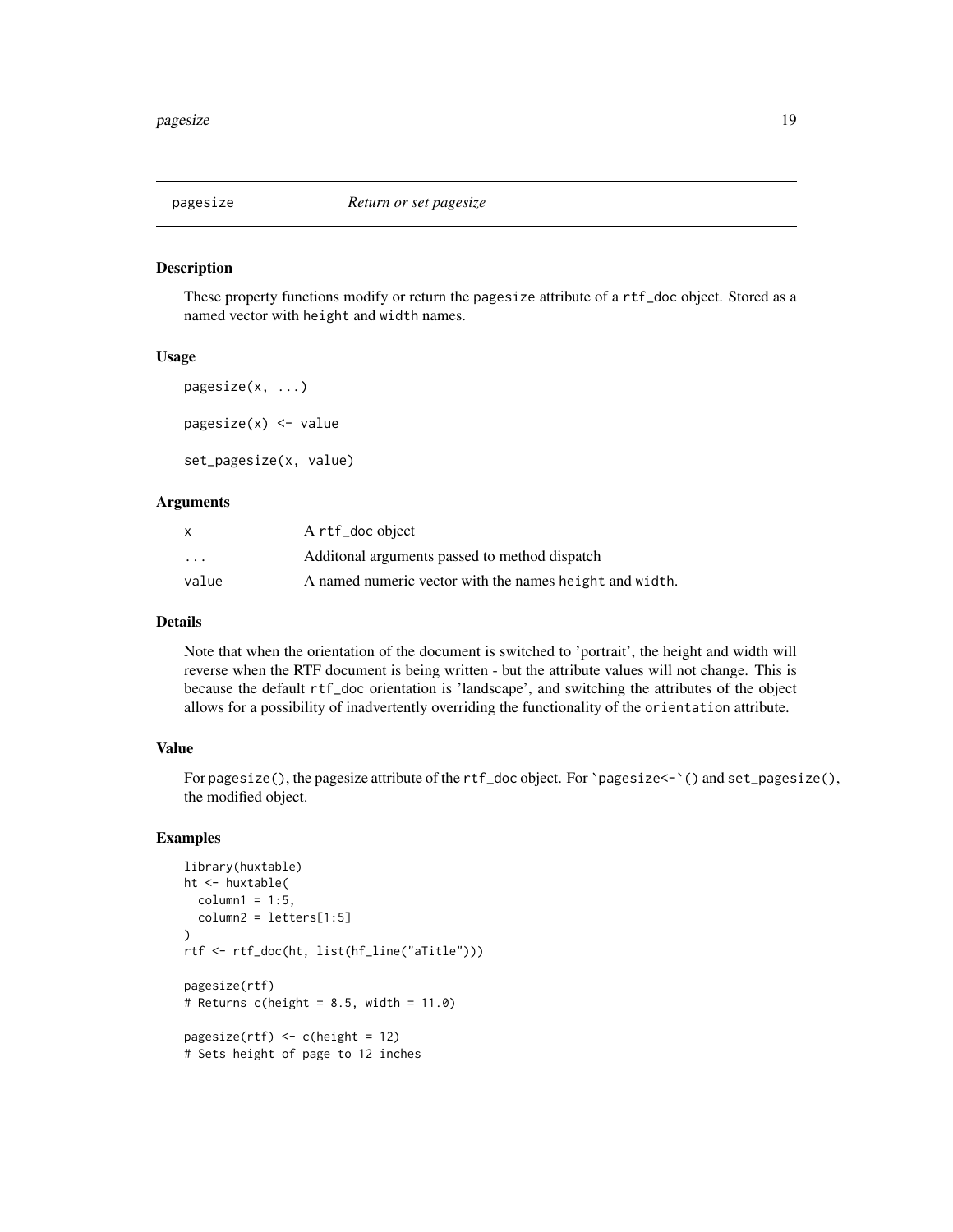<span id="page-18-0"></span>

These property functions modify or return the pagesize attribute of a rtf\_doc object. Stored as a named vector with height and width names.

#### Usage

```
pagesize(x, ...)
pagesize(x) <- value
set_pagesize(x, value)
```
## Arguments

|                         | A rtf_doc object                                        |
|-------------------------|---------------------------------------------------------|
| $\cdot$ $\cdot$ $\cdot$ | Additional arguments passed to method dispatch          |
| value                   | A named numeric vector with the names height and width. |

#### Details

Note that when the orientation of the document is switched to 'portrait', the height and width will reverse when the RTF document is being written - but the attribute values will not change. This is because the default rtf\_doc orientation is 'landscape', and switching the attributes of the object allows for a possibility of inadvertently overriding the functionality of the orientation attribute.

## Value

For pagesize(), the pagesize attribute of the rtf\_doc object. For `pagesize<-`() and set\_pagesize(), the modified object.

```
library(huxtable)
ht <- huxtable(
  column1 = 1:5,column2 = letters[1:5]
)
rtf <- rtf_doc(ht, list(hf_line("aTitle")))
pagesize(rtf)
# Returns c(height = 8.5, width = 11.0)
pagesize(rt) <- c(height = 12)
# Sets height of page to 12 inches
```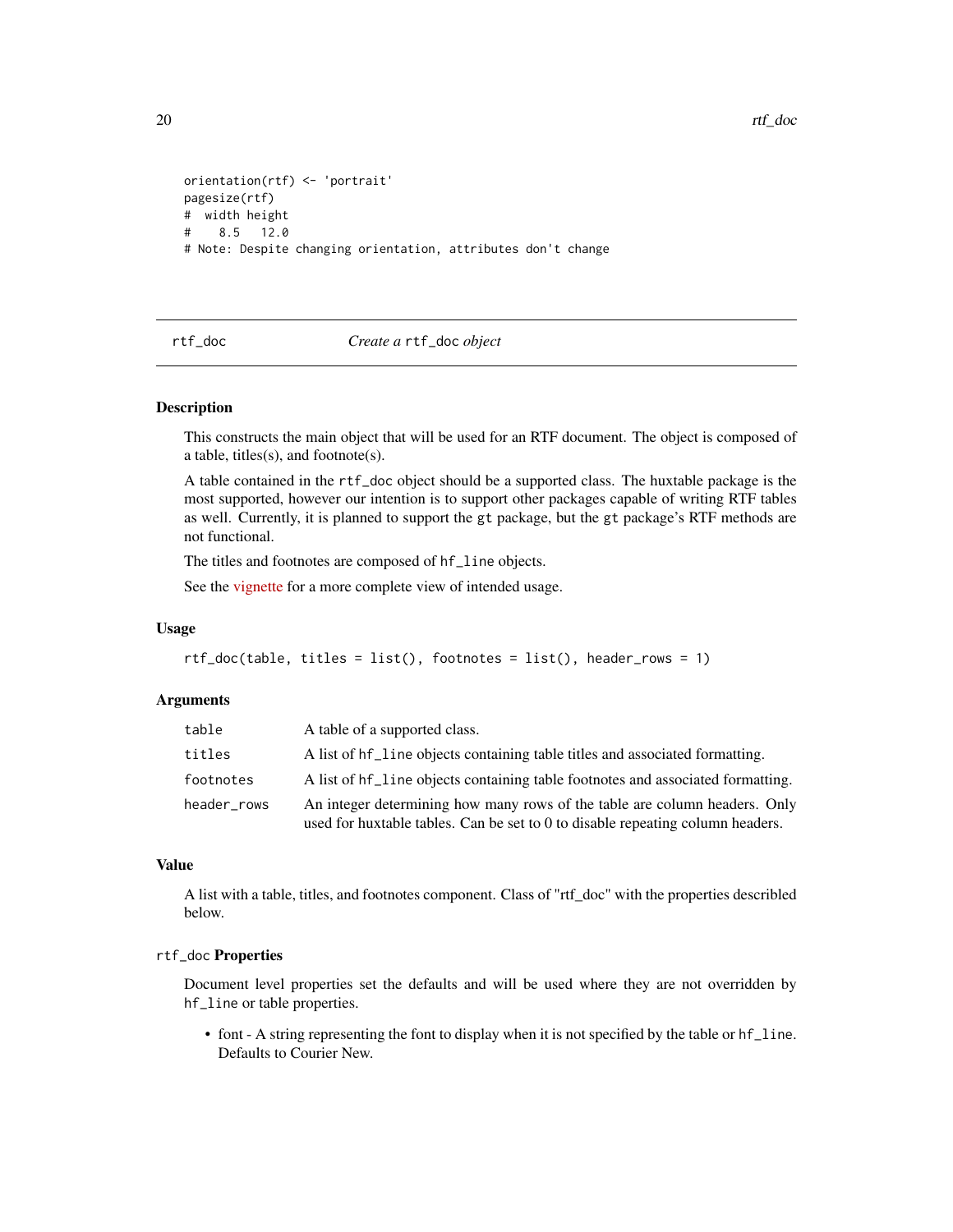```
orientation(rtf) <- 'portrait'
pagesize(rtf)
# width height
# 8.5 12.0
# Note: Despite changing orientation, attributes don't change
```
<span id="page-19-1"></span>rtf\_doc *Create a* rtf\_doc *object*

#### Description

This constructs the main object that will be used for an RTF document. The object is composed of a table, titles(s), and footnote(s).

A table contained in the rtf\_doc object should be a supported class. The huxtable package is the most supported, however our intention is to support other packages capable of writing RTF tables as well. Currently, it is planned to support the gt package, but the gt package's RTF methods are not functional.

The titles and footnotes are composed of hf\_line objects.

See the [vignette](https://atorus-research.github.io/pharmaRTF.html) for a more complete view of intended usage.

#### Usage

```
rtf\_doc(table, titles = list(),footnotes = list(), header_rows = 1)
```
#### **Arguments**

| table       | A table of a supported class.                                                                                                                                |
|-------------|--------------------------------------------------------------------------------------------------------------------------------------------------------------|
| titles      | A list of hf line objects containing table titles and associated formatting.                                                                                 |
| footnotes   | A list of hf_line objects containing table footnotes and associated formatting.                                                                              |
| header rows | An integer determining how many rows of the table are column headers. Only<br>used for huxtable tables. Can be set to 0 to disable repeating column headers. |

#### Value

A list with a table, titles, and footnotes component. Class of "rtf\_doc" with the properties describled below.

## rtf\_doc Properties

Document level properties set the defaults and will be used where they are not overridden by hf\_line or table properties.

• font - A string representing the font to display when it is not specified by the table or hf\_line. Defaults to Courier New.

<span id="page-19-0"></span>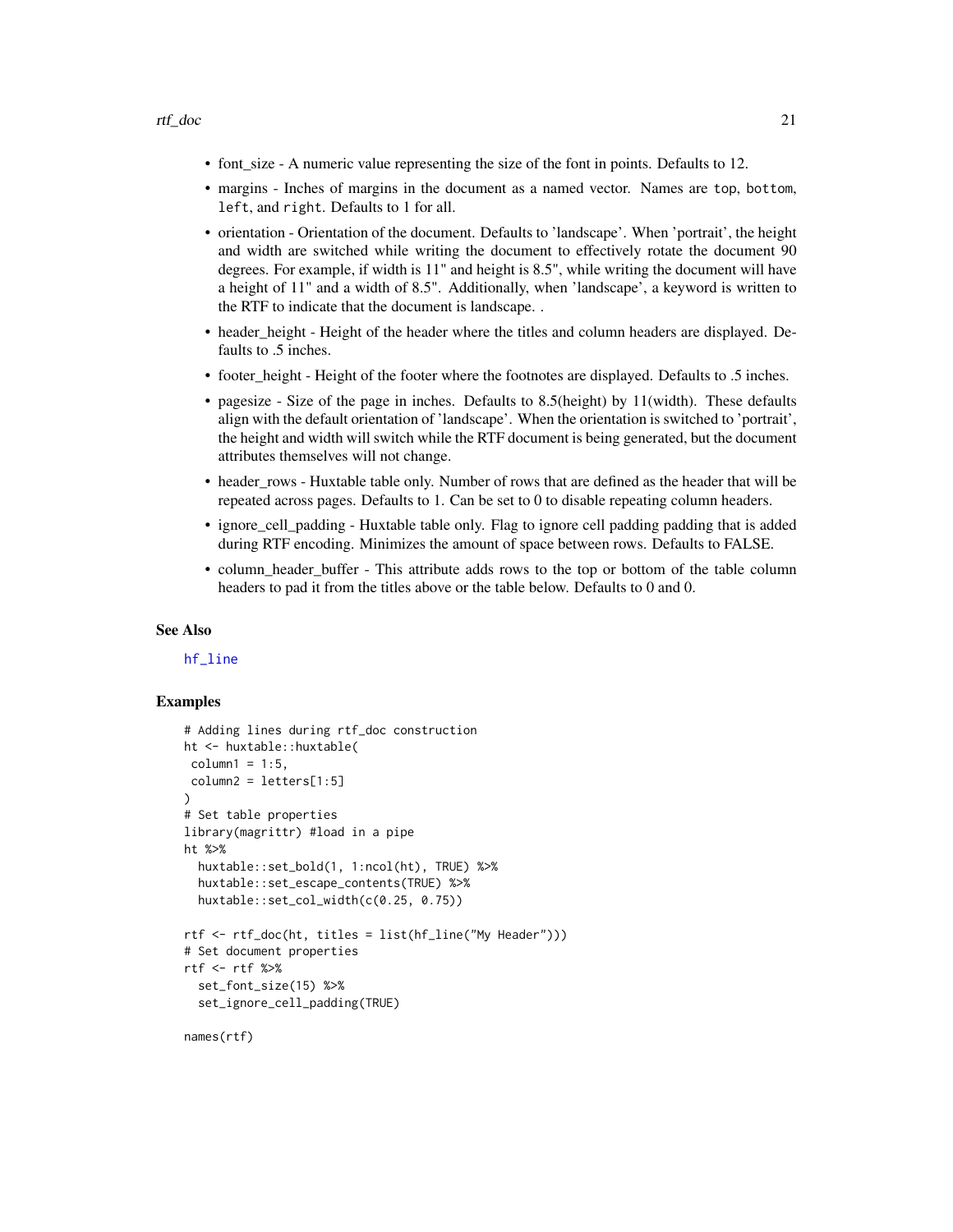- <span id="page-20-0"></span>• font\_size - A numeric value representing the size of the font in points. Defaults to 12.
- margins Inches of margins in the document as a named vector. Names are top, bottom, left, and right. Defaults to 1 for all.
- orientation Orientation of the document. Defaults to 'landscape'. When 'portrait', the height and width are switched while writing the document to effectively rotate the document 90 degrees. For example, if width is 11" and height is 8.5", while writing the document will have a height of 11" and a width of 8.5". Additionally, when 'landscape', a keyword is written to the RTF to indicate that the document is landscape. .
- header\_height Height of the header where the titles and column headers are displayed. Defaults to .5 inches.
- footer\_height Height of the footer where the footnotes are displayed. Defaults to .5 inches.
- pagesize Size of the page in inches. Defaults to 8.5(height) by 11(width). These defaults align with the default orientation of 'landscape'. When the orientation is switched to 'portrait', the height and width will switch while the RTF document is being generated, but the document attributes themselves will not change.
- header\_rows Huxtable table only. Number of rows that are defined as the header that will be repeated across pages. Defaults to 1. Can be set to 0 to disable repeating column headers.
- ignore\_cell\_padding Huxtable table only. Flag to ignore cell padding padding that is added during RTF encoding. Minimizes the amount of space between rows. Defaults to FALSE.
- column\_header\_buffer This attribute adds rows to the top or bottom of the table column headers to pad it from the titles above or the table below. Defaults to 0 and 0.

## See Also

## [hf\\_line](#page-10-1)

```
# Adding lines during rtf_doc construction
ht <- huxtable::huxtable(
column1 = 1:5,
column2 = letters[1:5]
)
# Set table properties
library(magrittr) #load in a pipe
ht %>%
 huxtable::set_bold(1, 1:ncol(ht), TRUE) %>%
 huxtable::set_escape_contents(TRUE) %>%
 huxtable::set_col_width(c(0.25, 0.75))
rtf <- rtf_doc(ht, titles = list(hf_line("My Header")))
# Set document properties
rtf <- rtf %>%
 set_font_size(15) %>%
 set_ignore_cell_padding(TRUE)
names(rtf)
```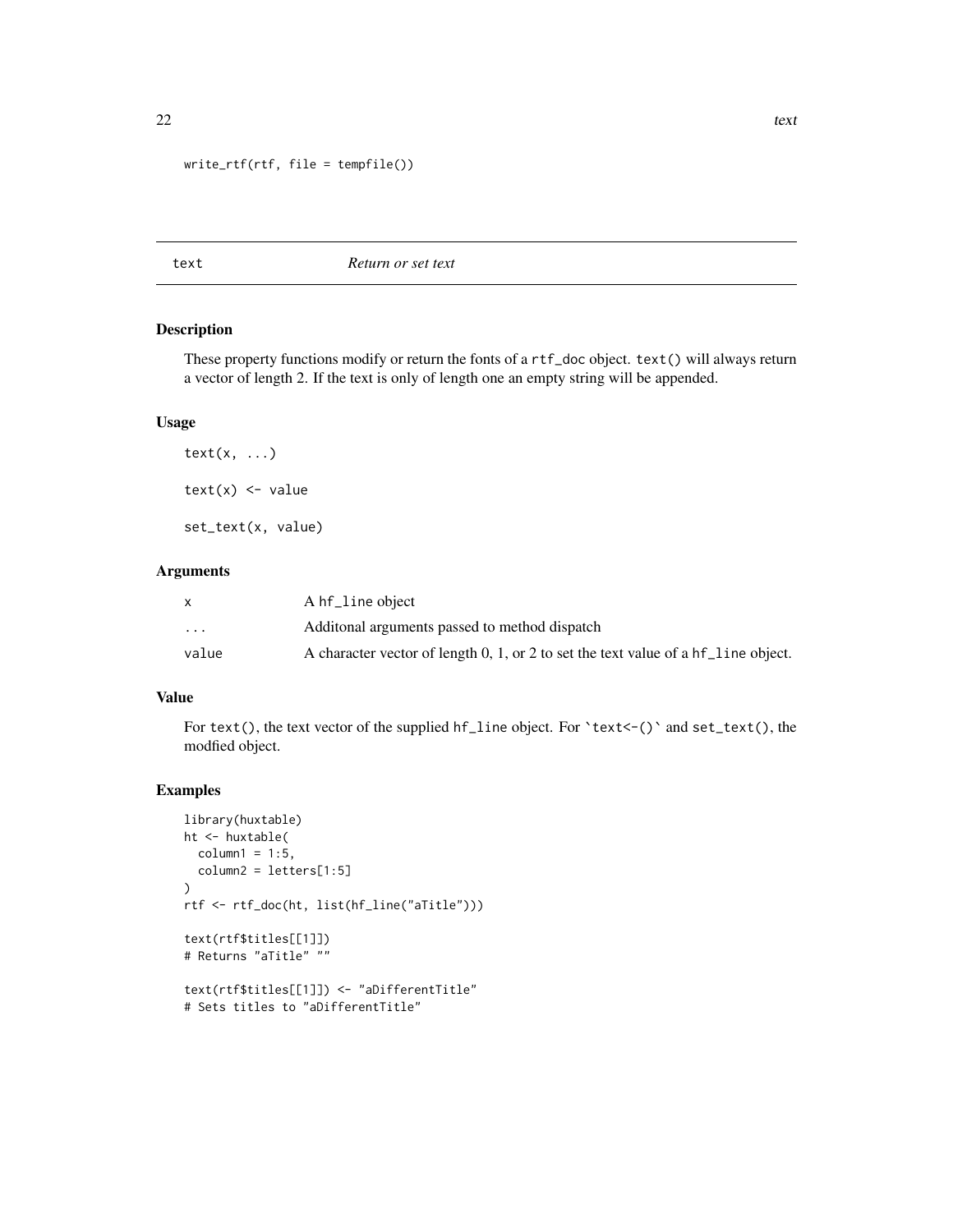```
write_rtf(rtf, file = tempfile())
```
text *Return or set text*

## Description

These property functions modify or return the fonts of a rtf\_doc object. text() will always return a vector of length 2. If the text is only of length one an empty string will be appended.

#### Usage

 $text(x, ...)$  $text(x) < -$  value set\_text(x, value)

## Arguments

|                         | A hf_line object                                                                   |
|-------------------------|------------------------------------------------------------------------------------|
| $\cdot$ $\cdot$ $\cdot$ | Additional arguments passed to method dispatch                                     |
| value                   | A character vector of length 0, 1, or 2 to set the text value of a hf line object. |

## Value

For text(), the text vector of the supplied hf\_line object. For `text<-()` and set\_text(), the modfied object.

```
library(huxtable)
ht <- huxtable(
  column1 = 1:5,column2 = letters[1:5]
\mathcal{L}rtf <- rtf_doc(ht, list(hf_line("aTitle")))
text(rtf$titles[[1]])
# Returns "aTitle" ""
text(rtf$titles[[1]]) <- "aDifferentTitle"
# Sets titles to "aDifferentTitle"
```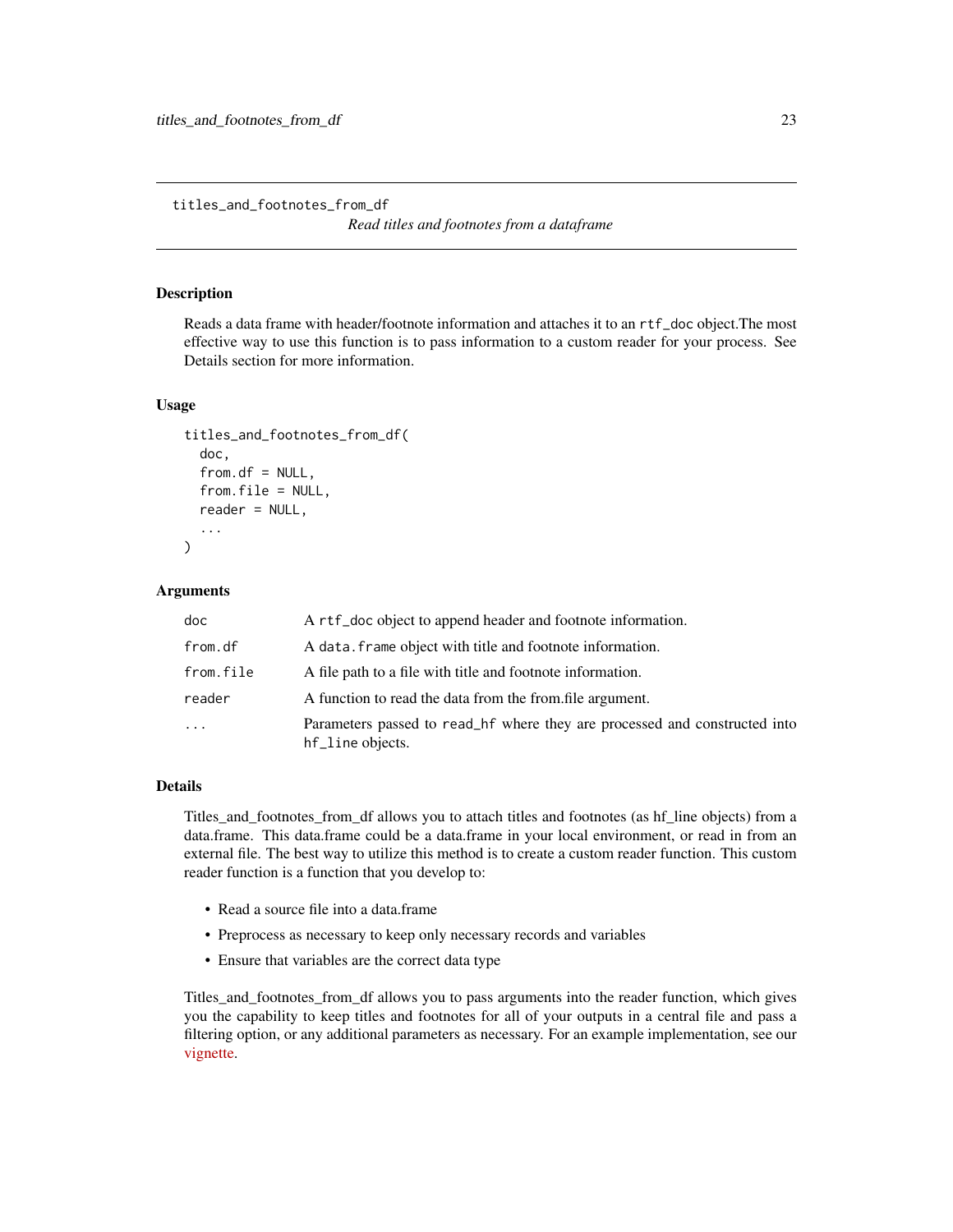<span id="page-22-0"></span>titles\_and\_footnotes\_from\_df

*Read titles and footnotes from a dataframe*

#### Description

Reads a data frame with header/footnote information and attaches it to an rtf\_doc object.The most effective way to use this function is to pass information to a custom reader for your process. See Details section for more information.

#### Usage

```
titles_and_footnotes_from_df(
  doc,
  from df = NULL,from.file = NULL,
  reader = NULL,
  ...
)
```
## Arguments

| doc                     | A rtf_doc object to append header and footnote information.                                    |
|-------------------------|------------------------------------------------------------------------------------------------|
| from.df                 | A data. frame object with title and footnote information.                                      |
| from.file               | A file path to a file with title and footnote information.                                     |
| reader                  | A function to read the data from the from file argument.                                       |
| $\cdot$ $\cdot$ $\cdot$ | Parameters passed to read_hf where they are processed and constructed into<br>hf_line objects. |

## Details

Titles\_and\_footnotes\_from\_df allows you to attach titles and footnotes (as hf\_line objects) from a data.frame. This data.frame could be a data.frame in your local environment, or read in from an external file. The best way to utilize this method is to create a custom reader function. This custom reader function is a function that you develop to:

- Read a source file into a data.frame
- Preprocess as necessary to keep only necessary records and variables
- Ensure that variables are the correct data type

Titles and footnotes from df allows you to pass arguments into the reader function, which gives you the capability to keep titles and footnotes for all of your outputs in a central file and pass a filtering option, or any additional parameters as necessary. For an example implementation, see our [vignette.](https://atorus-research.github.io/tf_from_file.html)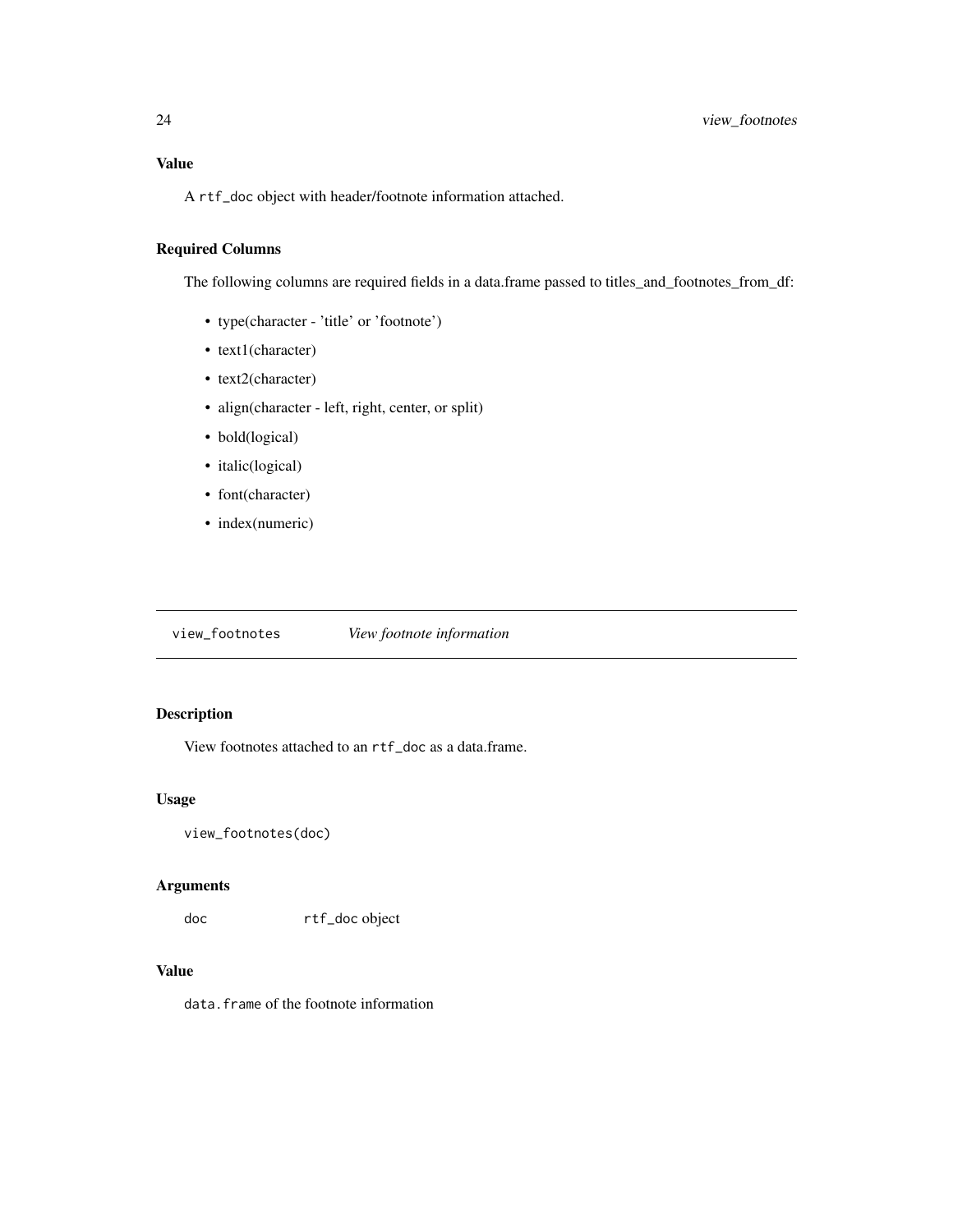## <span id="page-23-0"></span>Value

A rtf\_doc object with header/footnote information attached.

## Required Columns

The following columns are required fields in a data.frame passed to titles\_and\_footnotes\_from\_df:

- type(character 'title' or 'footnote')
- text1(character)
- text2(character)
- align(character left, right, center, or split)
- bold(logical)
- italic(logical)
- font(character)
- index(numeric)

view\_footnotes *View footnote information*

## Description

View footnotes attached to an rtf\_doc as a data.frame.

## Usage

```
view_footnotes(doc)
```
## Arguments

doc rtf\_doc object

## Value

data.frame of the footnote information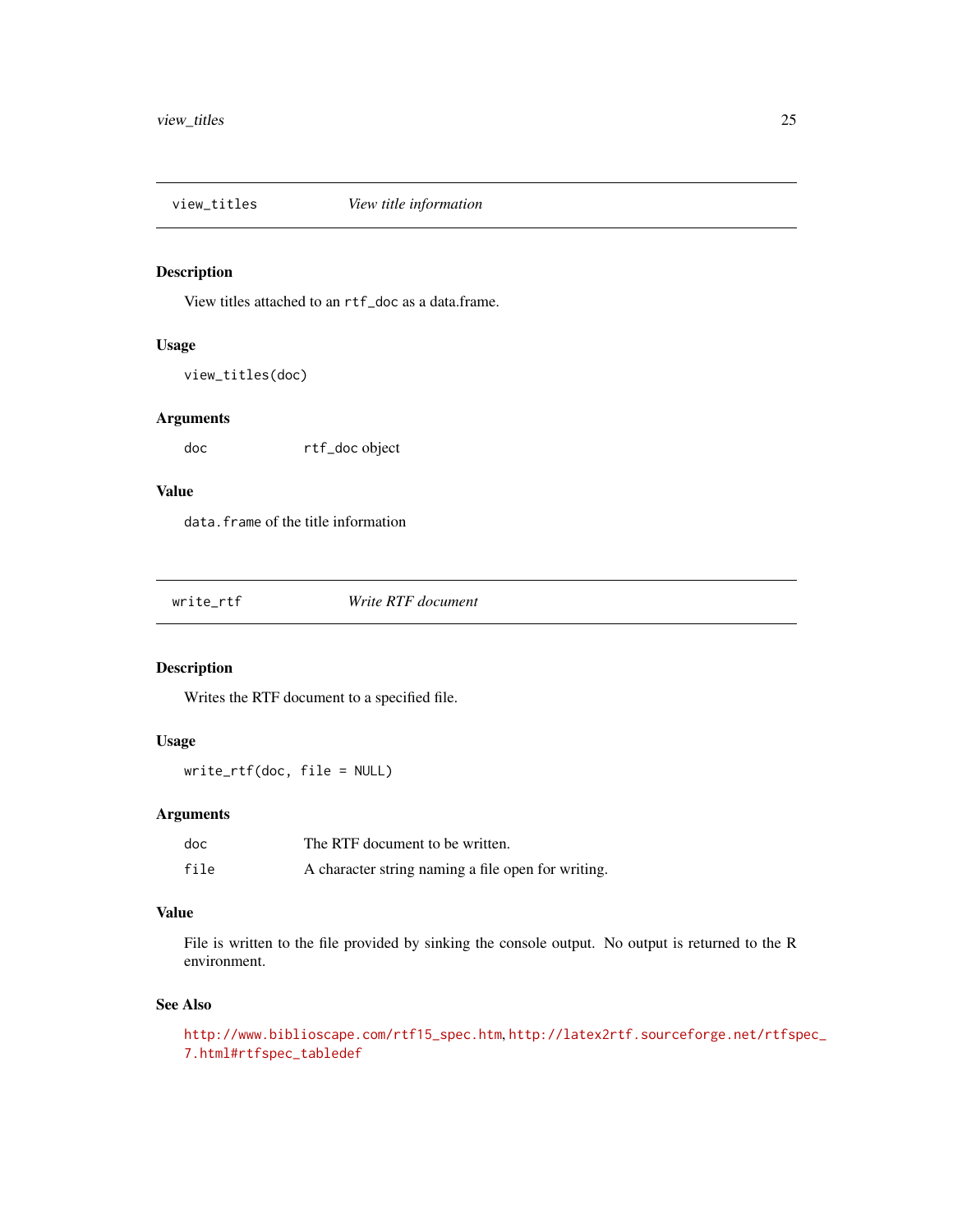<span id="page-24-0"></span>

View titles attached to an rtf\_doc as a data.frame.

## Usage

view\_titles(doc)

## Arguments

doc rtf\_doc object

## Value

data.frame of the title information

|  | write_rtf | Write RTF document |
|--|-----------|--------------------|
|--|-----------|--------------------|

## Description

Writes the RTF document to a specified file.

## Usage

write\_rtf(doc, file = NULL)

## Arguments

| doc  | The RTF document to be written.                    |
|------|----------------------------------------------------|
| file | A character string naming a file open for writing. |

## Value

File is written to the file provided by sinking the console output. No output is returned to the R environment.

#### See Also

```
http://www.biblioscape.com/rtf15_spec.htm, http://latex2rtf.sourceforge.net/rtfspec_
7.html#rtfspec_tabledef
```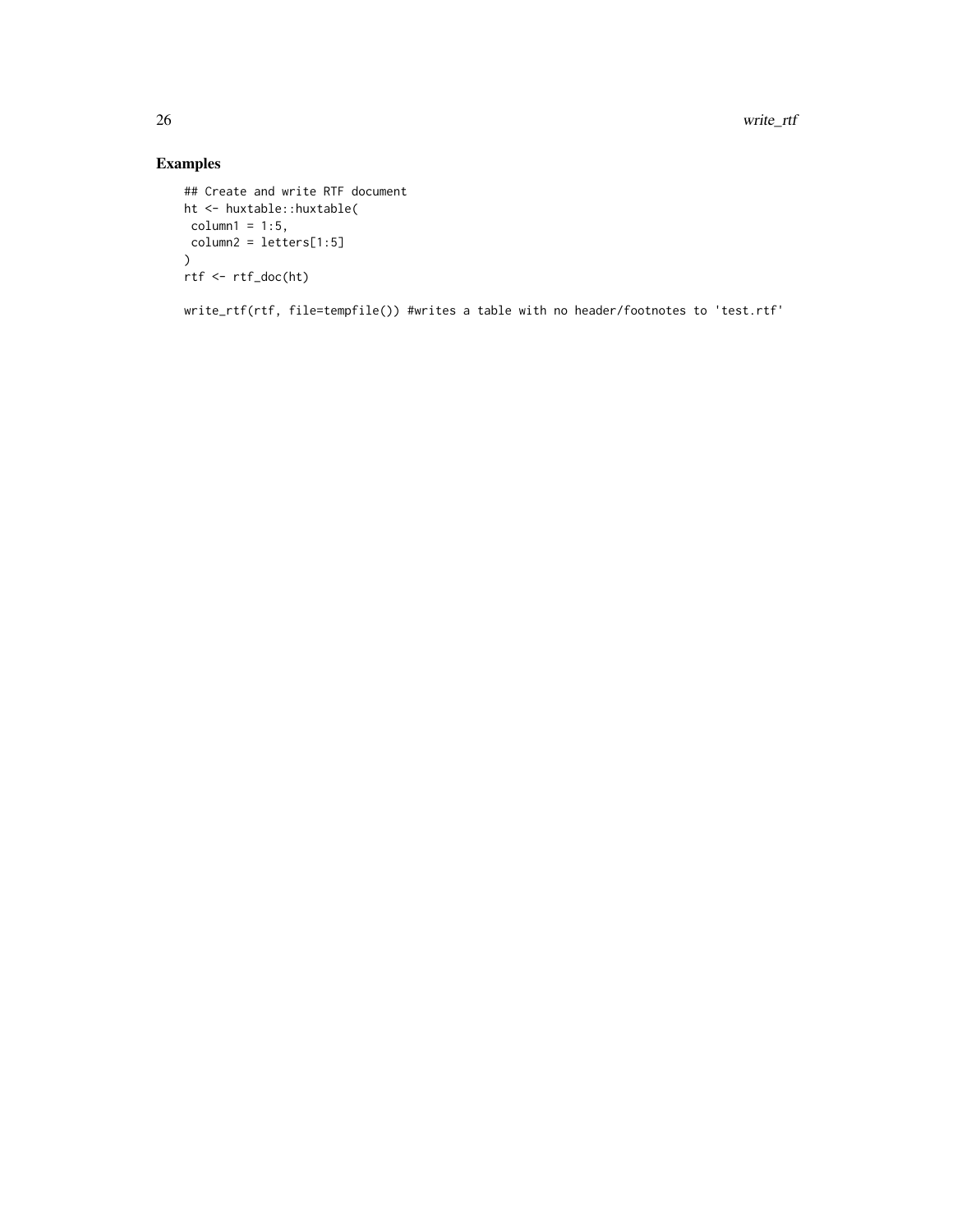26 write\_rtf

## Examples

```
## Create and write RTF document
ht <- huxtable::huxtable(
column1 = 1:5,column2 = letters[1:5]
\lambdartf <- rtf_doc(ht)
```
write\_rtf(rtf, file=tempfile()) #writes a table with no header/footnotes to 'test.rtf'